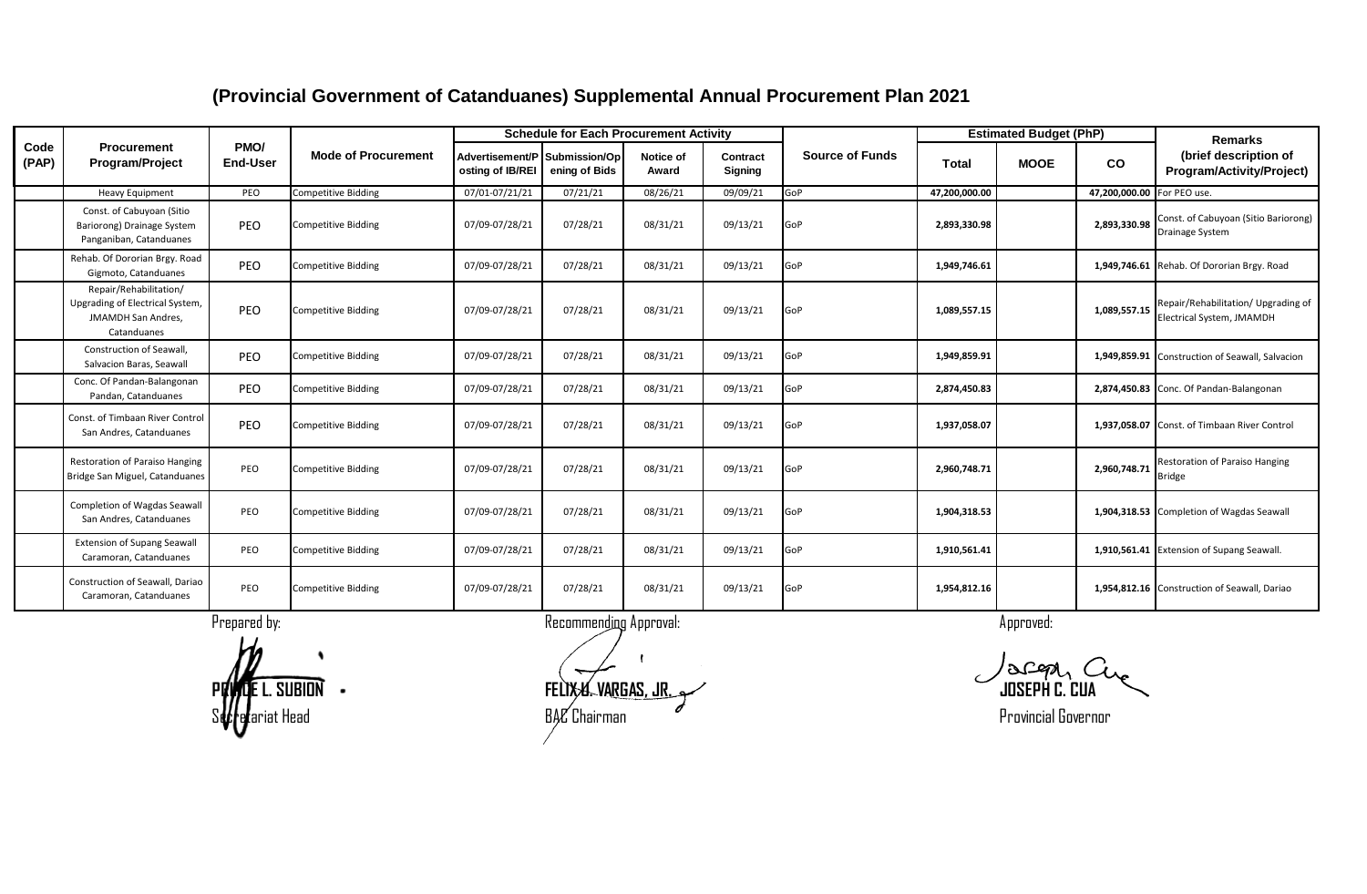|               |                                                                                                |                         |                            |                                                   | <b>Schedule for Each Procurement Activity</b> |                    |                     |                        |               | <b>Estimated Budget (PhP)</b> |               | <b>Remarks</b>                                                   |
|---------------|------------------------------------------------------------------------------------------------|-------------------------|----------------------------|---------------------------------------------------|-----------------------------------------------|--------------------|---------------------|------------------------|---------------|-------------------------------|---------------|------------------------------------------------------------------|
| Code<br>(PAP) | Procurement<br><b>Program/Project</b>                                                          | PMO/<br><b>End-User</b> | <b>Mode of Procurement</b> | Advertisement/P Submission/Op<br>osting of IB/REI | ening of Bids                                 | Notice of<br>Award | Contract<br>Signing | <b>Source of Funds</b> | <b>Total</b>  | <b>MOOE</b>                   | <b>CO</b>     | (brief description of<br>Program/Activity/Project)               |
|               | <b>Heavy Equipment</b>                                                                         | PEO                     | <b>Competitive Bidding</b> | 07/01-07/21/21                                    | 07/21/21                                      | 08/26/21           | 09/09/21            | GoP                    | 47,200,000.00 |                               | 47,200,000.00 | For PEO use.                                                     |
|               | Const. of Cabuyoan (Sitio<br>Bariorong) Drainage System<br>Panganiban, Catanduanes             | PEO                     | <b>Competitive Bidding</b> | 07/09-07/28/21                                    | 07/28/21                                      | 08/31/21           | 09/13/21            | GoP                    | 2,893,330.98  |                               | 2,893,330.98  | Const. of Cabuyoan (Sitio Bariorong)<br>Drainage System          |
|               | Rehab. Of Dororian Brgy. Road<br>Gigmoto, Catanduanes                                          | PEO                     | <b>Competitive Bidding</b> | 07/09-07/28/21                                    | 07/28/21                                      | 08/31/21           | 09/13/21            | GoP                    | 1,949,746.61  |                               |               | 1,949,746.61 Rehab. Of Dororian Brgy. Road                       |
|               | Repair/Rehabilitation/<br>Upgrading of Electrical System,<br>JMAMDH San Andres,<br>Catanduanes | PEO                     | <b>Competitive Bidding</b> | 07/09-07/28/21                                    | 07/28/21                                      | 08/31/21           | 09/13/21            | GoP                    | 1,089,557.15  |                               | 1,089,557.15  | Repair/Rehabilitation/ Upgrading of<br>Electrical System, JMAMDH |
|               | <b>Construction of Seawall</b><br>Salvacion Baras, Seawall                                     | PEO                     | <b>Competitive Bidding</b> | 07/09-07/28/21                                    | 07/28/21                                      | 08/31/21           | 09/13/21            | GoP                    | 1,949,859.91  |                               |               | 1,949,859.91 Construction of Seawall, Salvacion                  |
|               | Conc. Of Pandan-Balangonan<br>Pandan, Catanduanes                                              | PEO                     | <b>Competitive Bidding</b> | 07/09-07/28/21                                    | 07/28/21                                      | 08/31/21           | 09/13/21            | GoP                    | 2,874,450.83  |                               |               | 2,874,450.83 Conc. Of Pandan-Balangonan                          |
|               | Const. of Timbaan River Control<br>San Andres, Catanduanes                                     | PEO                     | <b>Competitive Bidding</b> | 07/09-07/28/21                                    | 07/28/21                                      | 08/31/21           | 09/13/21            | GoP                    | 1,937,058.07  |                               |               | 1,937,058.07 Const. of Timbaan River Control                     |
|               | <b>Restoration of Paraiso Hanging</b><br>Bridge San Miguel, Catanduanes                        | PEO                     | <b>Competitive Bidding</b> | 07/09-07/28/21                                    | 07/28/21                                      | 08/31/21           | 09/13/21            | GoP                    | 2,960,748.71  |                               | 2,960,748.71  | <b>Restoration of Paraiso Hanging</b><br><b>Bridge</b>           |
|               | Completion of Wagdas Seawall<br>San Andres, Catanduanes                                        | PEO                     | <b>Competitive Bidding</b> | 07/09-07/28/21                                    | 07/28/21                                      | 08/31/21           | 09/13/21            | GoP                    | 1,904,318.53  |                               |               | 1,904,318.53 Completion of Wagdas Seawall                        |
|               | <b>Extension of Supang Seawall</b><br>Caramoran, Catanduanes                                   | PEO                     | <b>Competitive Bidding</b> | 07/09-07/28/21                                    | 07/28/21                                      | 08/31/21           | 09/13/21            | GoP                    | 1,910,561.41  |                               |               | 1,910,561.41 Extension of Supang Seawall.                        |
|               | Construction of Seawall, Dariao<br>Caramoran, Catanduanes                                      | PEO                     | <b>Competitive Bidding</b> | 07/09-07/28/21                                    | 07/28/21                                      | 08/31/21           | 09/13/21            | GoP                    | 1,954,812.16  |                               |               | 1,954,812.16 Construction of Seawall, Dariao                     |
|               |                                                                                                | Prepared by:            |                            |                                                   | Recommending Approval:                        |                    |                     |                        |               | Approved:                     |               |                                                                  |

**PRINCE L. SUBION FELIX U. VARGAS, JR. JOSEPH C. CUA** ariat Head  $\rm B4C$ Chairman  $\rm C$ 

'acga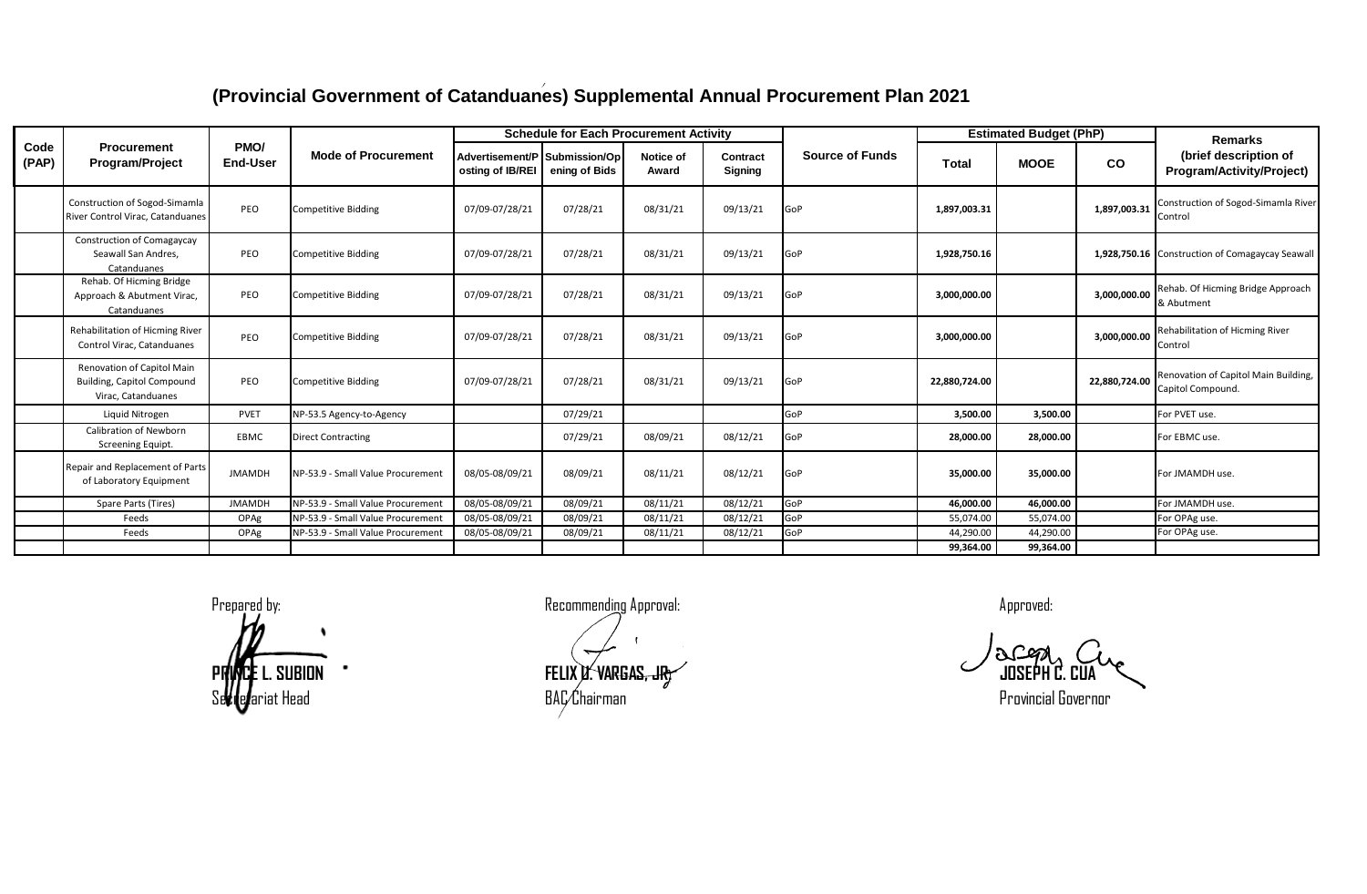|               |                                                                                       |                         |                                   |                                                   | <b>Schedule for Each Procurement Activity</b> |                    |                     |                        |               | <b>Estimated Budget (PhP)</b> |               | <b>Remarks</b>                                            |
|---------------|---------------------------------------------------------------------------------------|-------------------------|-----------------------------------|---------------------------------------------------|-----------------------------------------------|--------------------|---------------------|------------------------|---------------|-------------------------------|---------------|-----------------------------------------------------------|
| Code<br>(PAP) | <b>Procurement</b><br><b>Program/Project</b>                                          | PMO/<br><b>End-User</b> | <b>Mode of Procurement</b>        | Advertisement/P Submission/Op<br>osting of IB/REI | ening of Bids                                 | Notice of<br>Award | Contract<br>Signing | <b>Source of Funds</b> | <b>Total</b>  | <b>MOOE</b>                   | <b>CO</b>     | (brief description of<br>Program/Activity/Project)        |
|               | Construction of Sogod-Simamla<br>River Control Virac, Catanduanes                     | PEO                     | <b>Competitive Bidding</b>        | 07/09-07/28/21                                    | 07/28/21                                      | 08/31/21           | 09/13/21            | GoP                    | 1,897,003.31  |                               | 1,897,003.31  | Construction of Sogod-Simamla River<br>Control            |
|               | Construction of Comagaycay<br>Seawall San Andres.<br>Catanduanes                      | PEO                     | <b>Competitive Bidding</b>        | 07/09-07/28/21                                    | 07/28/21                                      | 08/31/21           | 09/13/21            | GoP                    | 1,928,750.16  |                               |               | 1,928,750.16 Construction of Comagaycay Seawall           |
|               | Rehab. Of Hicming Bridge<br>Approach & Abutment Virac,<br>Catanduanes                 | PEO                     | <b>Competitive Bidding</b>        | 07/09-07/28/21                                    | 07/28/21                                      | 08/31/21           | 09/13/21            | GoP                    | 3,000,000.00  |                               | 3.000.000.00  | Rehab. Of Hicming Bridge Approach<br>& Abutment           |
|               | <b>Rehabilitation of Hicming River</b><br>Control Virac, Catanduanes                  | PEO                     | <b>Competitive Bidding</b>        | 07/09-07/28/21                                    | 07/28/21                                      | 08/31/21           | 09/13/21            | GoP                    | 3,000,000.00  |                               | 3,000,000.00  | <b>Rehabilitation of Hicming River</b><br>Control         |
|               | Renovation of Capitol Main<br><b>Building, Capitol Compound</b><br>Virac. Catanduanes | PEO                     | <b>Competitive Bidding</b>        | 07/09-07/28/21                                    | 07/28/21                                      | 08/31/21           | 09/13/21            | GoP                    | 22,880,724.00 |                               | 22,880,724.00 | Renovation of Capitol Main Building,<br>Capitol Compound. |
|               | Liquid Nitrogen                                                                       | <b>PVET</b>             | NP-53.5 Agency-to-Agency          |                                                   | 07/29/21                                      |                    |                     | GoP                    | 3,500.00      | 3,500.00                      |               | For PVET use.                                             |
|               | Calibration of Newborn<br>Screening Equipt.                                           | EBMC                    | <b>Direct Contracting</b>         |                                                   | 07/29/21                                      | 08/09/21           | 08/12/21            | GoP                    | 28,000.00     | 28,000.00                     |               | For EBMC use.                                             |
|               | Repair and Replacement of Parts<br>of Laboratory Equipment                            | <b>JMAMDH</b>           | NP-53.9 - Small Value Procurement | 08/05-08/09/21                                    | 08/09/21                                      | 08/11/21           | 08/12/21            | GoP                    | 35,000.00     | 35,000.00                     |               | For JMAMDH use.                                           |
|               | Spare Parts (Tires)                                                                   | <b>JMAMDH</b>           | NP-53.9 - Small Value Procurement | 08/05-08/09/21                                    | 08/09/21                                      | 08/11/21           | 08/12/21            | GoP                    | 46,000.00     | 46,000.00                     |               | For JMAMDH use.                                           |
|               | Feeds                                                                                 | OPAg                    | NP-53.9 - Small Value Procurement | 08/05-08/09/21                                    | 08/09/21                                      | 08/11/21           | 08/12/21            | GoP                    | 55,074.00     | 55,074.00                     |               | For OPAg use.                                             |
|               | Feeds                                                                                 | OPAg                    | NP-53.9 - Small Value Procurement | 08/05-08/09/21                                    | 08/09/21                                      | 08/11/21           | 08/12/21            | GoP                    | 44,290.00     | 44,290.00                     |               | For OPAg use.                                             |
|               |                                                                                       |                         |                                   |                                                   |                                               |                    |                     |                        | 99,364.00     | 99,364.00                     |               |                                                           |

**PRINCE** L. SUBION **FELIX U. VARGAS, JR. COMPUTER CONSTRUCTS** SUBSERTING CONSERVERS OF SUBSERTING

Prepared by: Recommending Approval: Approved:

Secretariat Head **Exercise Secretariat Constructs** BAC Chairman Provincial Governor Provincial Governor

acq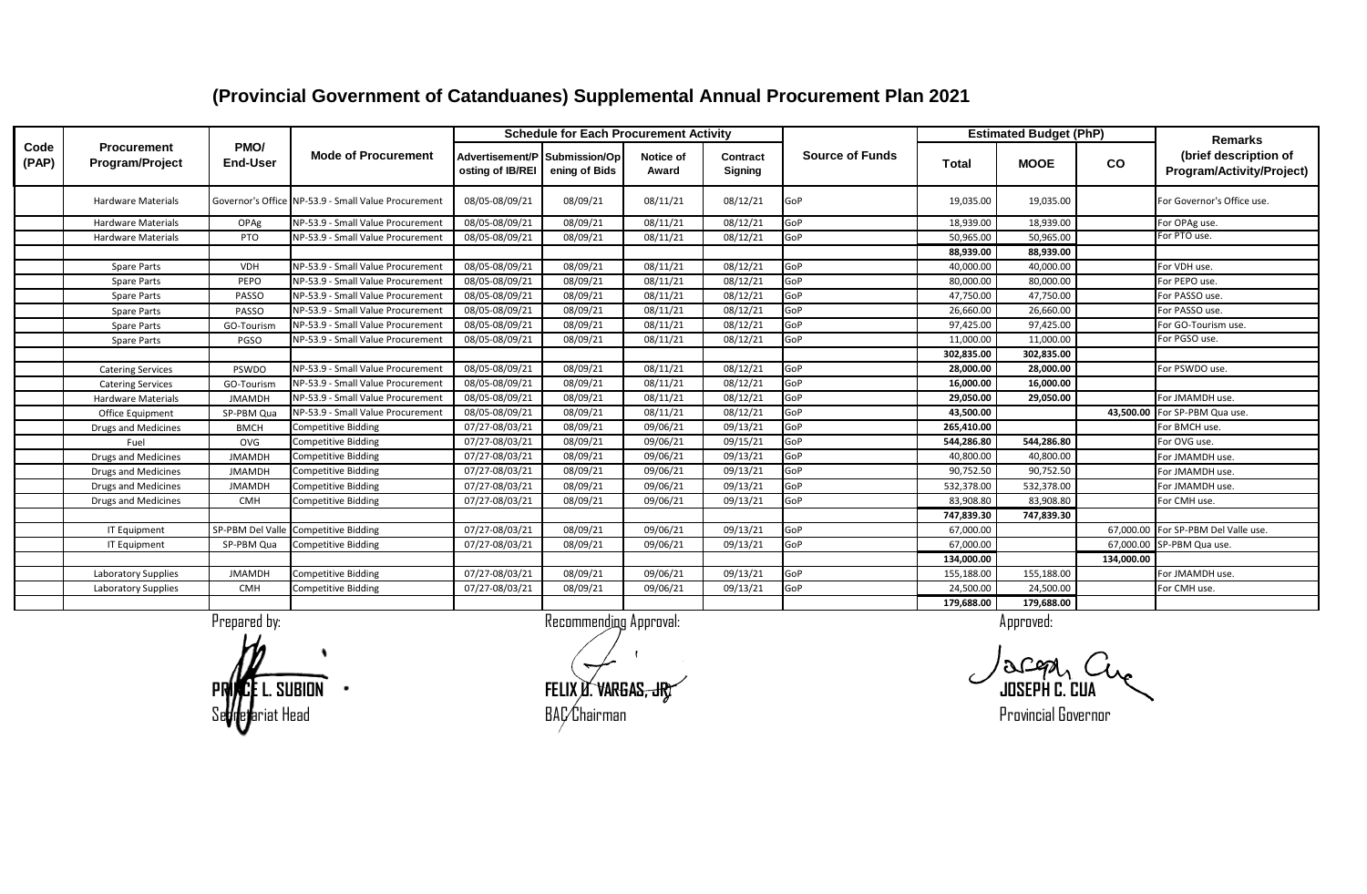#### **Advertisement/P osting of IB/REI Submission/Op ening of Bids Notice of Award Contract Signing Total MOOE CO** Hardware Materials Governor's Office NP-53.9 - Small Value Procurement 08/05-08/09/21 08/09/21 08/11/21 08/12/21 GoP 19,035.00 19,035.00 For Governor's Office use. Hardware Materials | OPAg NP-53.9 - Small Value Procurement | 08/05-08/09/21 | 08/09/21 | 08/11/21 | 08/12/21 | GoP 18,939.00 | 18,939.00 | 18,939.00 | For OPAg use Hardware Materials PTO NP-53.9 - Small Value Procurement 08/05-08/09/21 08/09/21 08/11/21 08/12/21 GoP 50,965.00 50,965.00 50,965.00 For PTO use.  **88,939.00 88,939.00** Spare Parts VDH NP-53.9 - Small Value Procurement 08/05-08/09/21 08/09/21 08/11/21 08/12/21 GoP 40,000.00 40,000.00 For VDH use. Spare Parts Pero NP-53.9 - Small Value Procurement 08/05-08/09/21 08/09/21 08/11/21 08/12/21 GoP 80,000.00 80,000.00 For PEPO use. Spare Parts PASSO NP-53.9 - Small Value Procurement | 08/05-08/09/21 | 08/09/21 | 08/11/21 | 08/12/21 | GoP | 47,750.00 | 47,750.00 | 47,750.00 | For PASSO use. Spare Parts Passo NP-53.9 - Small Value Procurement 08/05-08/09/21 08/09/21 08/11/21 08/12/21 GoP 26,660.00 26,660.00 PS PASSO use. Spare Parts (GO-Tourism NP-53.9 - Small Value Procurement | 08/05-08/09/21 | 08/09/21 | 08/11/21 | 08/12/21 | GoP 97,425.00 | 97,425.00 | 97,425.00 | For GO-Tourism use. Spare Parts PGSO NP-53.9 - Small Value Procurement 08/05-08/09/21 08/09/21 08/11/21 08/12/21 GoP 11,000.00 11,000.00 11,000.00  **302,835.00 302,835.00** Catering Services | PSWDO NP-53.9 - Small Value Procurement | 08/05-08/09/21 | 08/09/21 | 08/11/21 | 08/12/21 | GoP | 28,000.00 | 28,000.00 | 28,000.00 | For PSWDO use. Catering Services GO-Tourism NP-53.9 - Small Value Procurement 08/05-08/09/21 08/09/21 08/11/21 08/12/21 GoP **16,000.00 16,000.00** Hardware Materials JMAMDH NP-53.9 - Small Value Procurement 08/05-08/09/21 08/09/21 08/11/21 08/12/21 GoP **29,050.00 29,050.00** For JMAMDH use. Office Equipment SP-PBM Qua NP-53.9 - Small Value Procurement 08/05-08/09/21 08/09/21 08/11/21 08/12/21 GoP **43,500.00 43,500.00** For SP-PBM Qua use. Drugs and Medicines BMCH Competitive Bidding 07/27-08/03/21 08/09/21 09/06/21 09/13/21 GoP **265,410.00** For BMCH use. Fuel OVG Competitive Bidding 07/27-08/03/21 08/09/21 09/06/21 09/15/21 GoP **544,286.80 544,286.80** For OVG use. Drugs and Medicines JMAMDH Competitive Bidding 07/27-08/03/21 08/09/21 09/06/21 09/13/21 GoP 40,800.00 40,800.00 For JMAMDH use. Drugs and Medicines JMAMDH Competitive Bidding 07/27-08/03/21 08/09/21 09/06/21 09/13/21 GoP 90,752.50 90,752.50 For JMAMDH use. Drugs and Medicines JMAMDH Competitive Bidding 07/27-08/03/21 08/09/21 09/06/21 09/13/21 GoP 532,378.00 532,378.00 For JMAMDH use. Drugs and Medicines | CMH Competitive Bidding | 07/27-08/03/21 08/09/21 09/06/21 09/13/21 GoP | 83,908.80 83,908.80 For CMH use.  **747,839.30 747,839.30** IT Equipment SP-PBM Del Valle Competitive Bidding and the US/27-08/03/21 08/09/21 09/06/21 09/06/21 09/13/21 GoP 67,000.00 67,000.00 For SP-PBM Del Valle use. IT Equipment | SP-PBM Qua Competitive Bidding | 07/27-08/03/21 | 08/09/21 | 09/06/21 | 09/13/21 | GoP | 67,000.00 | 67,000.00 | 67,000.00 | 67,000.00 | 67,000.00 | 67,000.00 | 67,000.00 | 67,000.00 | 67,000.00 | 67,000.00  **134,000.00 134,000.00** Laboratory Supplies | JMAMDH Competitive Bidding | 07/27-08/03/21 | 08/09/21 | 09/06/21 | 09/13/21 |GoP | 155,188.00 | 155,188.00 | | For JMAMDH use. Laboratory Supplies | CMH Competitive Bidding | 07/27-08/03/21 | 08/09/21 | 09/06/21 | 09/13/21 |GoP | 24,500.00 | 24,500.00 | For CMH use.  **179,688.00 179,688.00 Source of Funds Estimated Budget (PhP) Code (PAP) Procurement Program/Project PMO/ End-User Mode of Procurement Schedule for Each Procurement Activity Remarks Remarks Remarks Remarks Remarks (brief description of Program/Activity/Project)**

#### **(Provincial Government of Catanduanes) Supplemental Annual Procurement Plan 2021**

Se**tri**e and a secretarial Governor control and BAC Chairman BAC Chairman Secretarial Governor control of the provincial Governor control of the secretary of the secretary of the secretary of the secretary of the secretary

**PRINCE LA CONTRAS, JR. PRINCE LA CONTRAS, JR. PRINCE LA CONTRAS, COMPANY CONTRAS CONTRAS CONTRAS CONTRAS CONTRAS**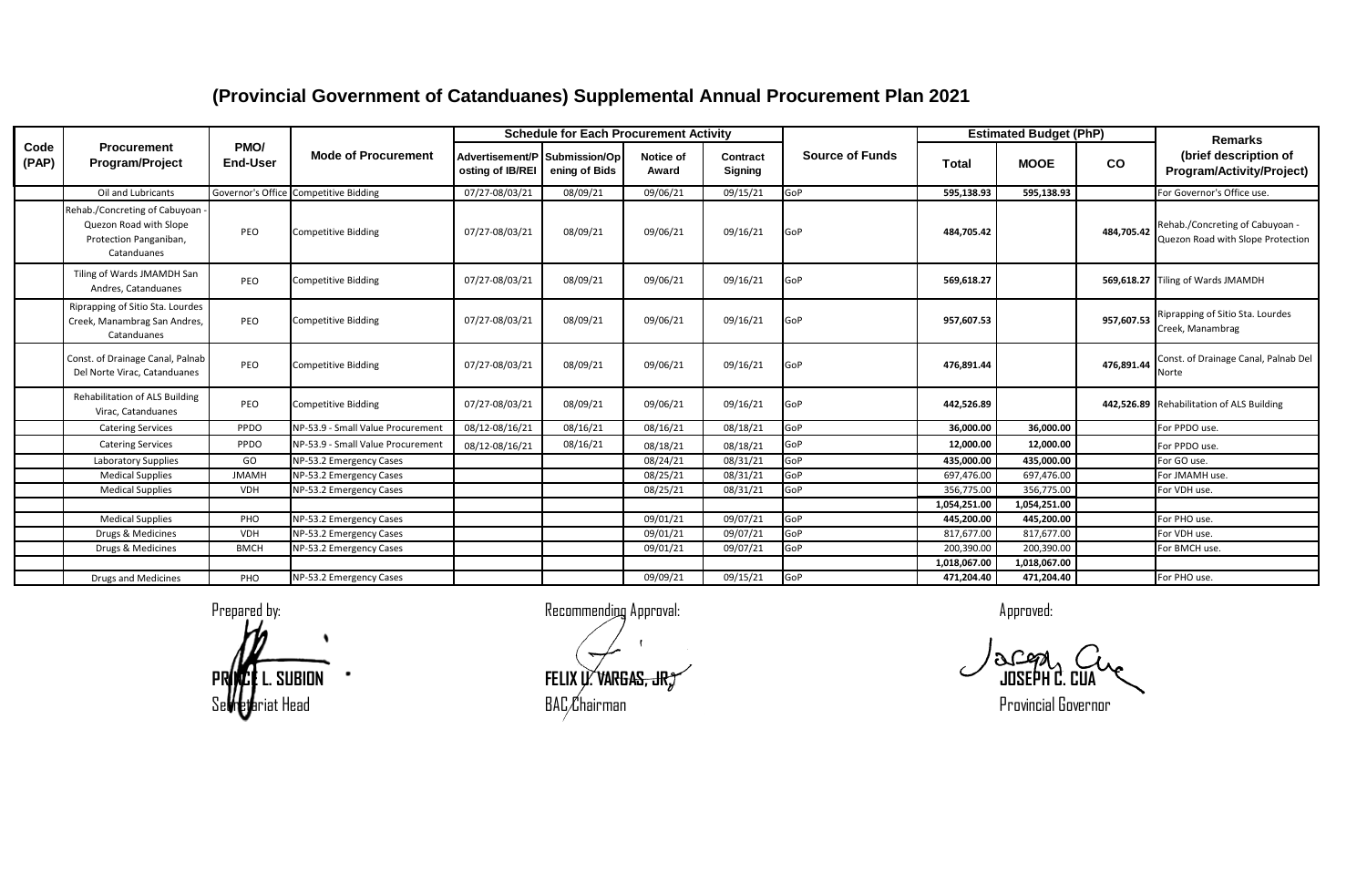|               |                                                                                                  |                         |                                       |                                                   | <b>Schedule for Each Procurement Activity</b> |                    |                     |                        |                            | <b>Estimated Budget (PhP)</b> |            | Remarks                                                              |
|---------------|--------------------------------------------------------------------------------------------------|-------------------------|---------------------------------------|---------------------------------------------------|-----------------------------------------------|--------------------|---------------------|------------------------|----------------------------|-------------------------------|------------|----------------------------------------------------------------------|
| Code<br>(PAP) | <b>Procurement</b><br>Program/Project                                                            | PMO/<br><b>End-User</b> | <b>Mode of Procurement</b>            | Advertisement/P Submission/Op<br>osting of IB/REI | ening of Bids                                 | Notice of<br>Award | Contract<br>Signing | <b>Source of Funds</b> | Total                      | <b>MOOE</b>                   | <b>CO</b>  | (brief description of<br>Program/Activity/Project)                   |
|               | Oil and Lubricants                                                                               |                         | Governor's Office Competitive Bidding | 07/27-08/03/21                                    | 08/09/21                                      | 09/06/21           | 09/15/21            | GoP                    | 595,138.93                 | 595,138.93                    |            | For Governor's Office use.                                           |
|               | Rehab./Concreting of Cabuyoan<br>Quezon Road with Slope<br>Protection Panganiban,<br>Catanduanes | PEO                     | <b>Competitive Bidding</b>            | 07/27-08/03/21                                    | 08/09/21                                      | 09/06/21           | 09/16/21            | GoP                    | 484,705.42                 |                               | 484.705.42 | Rehab./Concreting of Cabuyoan -<br>Quezon Road with Slope Protection |
|               | Tiling of Wards JMAMDH San<br>Andres, Catanduanes                                                | PEO                     | <b>Competitive Bidding</b>            | 07/27-08/03/21                                    | 08/09/21                                      | 09/06/21           | 09/16/21            | GoP                    | 569.618.27                 |                               |            | 569,618.27 Tiling of Wards JMAMDH                                    |
|               | Riprapping of Sitio Sta. Lourdes<br>Creek, Manambrag San Andres,<br>Catanduanes                  | PEO                     | <b>Competitive Bidding</b>            | 07/27-08/03/21                                    | 08/09/21                                      | 09/06/21           | 09/16/21            | GoP                    | 957,607.53                 |                               | 957,607.53 | Riprapping of Sitio Sta. Lourdes<br>Creek, Manambrag                 |
|               | Const. of Drainage Canal, Palnab<br>Del Norte Virac, Catanduanes                                 | PEO                     | <b>Competitive Bidding</b>            | 07/27-08/03/21                                    | 08/09/21                                      | 09/06/21           | 09/16/21            | GoP                    | 476,891.44                 |                               | 476,891.44 | Const. of Drainage Canal, Palnab Del<br>Norte                        |
|               | <b>Rehabilitation of ALS Building</b><br>Virac, Catanduanes                                      | PEO                     | <b>Competitive Bidding</b>            | 07/27-08/03/21                                    | 08/09/21                                      | 09/06/21           | 09/16/21            | GoP                    | 442,526.89                 |                               |            | 442,526.89 Rehabilitation of ALS Building                            |
|               | <b>Catering Services</b>                                                                         | PPDO                    | NP-53.9 - Small Value Procurement     | 08/12-08/16/21                                    | 08/16/21                                      | 08/16/21           | 08/18/21            | GoP                    | 36.000.00                  | 36.000.00                     |            | For PPDO use.                                                        |
|               | <b>Catering Services</b>                                                                         | PPDO                    | NP-53.9 - Small Value Procurement     | 08/12-08/16/21                                    | 08/16/21                                      | 08/18/21           | 08/18/21            | GoP                    | 12,000.00                  | 12,000.00                     |            | For PPDO use.                                                        |
|               | Laboratory Supplies                                                                              | GO                      | NP-53.2 Emergency Cases               |                                                   |                                               | 08/24/21           | 08/31/21            | GoP                    | 435,000.00                 | 435,000.00                    |            | For GO use.                                                          |
|               | <b>Medical Supplies</b>                                                                          | <b>JMAMH</b>            | NP-53.2 Emergency Cases               |                                                   |                                               | 08/25/21           | 08/31/21            | GoP                    | 697,476.00                 | 697,476.00                    |            | For JMAMH use.                                                       |
|               | <b>Medical Supplies</b>                                                                          | <b>VDH</b>              | NP-53.2 Emergency Cases               |                                                   |                                               | 08/25/21           | 08/31/21            | GoP                    | 356,775.00                 | 356,775.00                    |            | For VDH use.                                                         |
|               |                                                                                                  |                         |                                       |                                                   |                                               |                    |                     |                        | 1,054,251.00               | 1,054,251.00                  |            |                                                                      |
|               | <b>Medical Supplies</b>                                                                          | PHO                     | NP-53.2 Emergency Cases               |                                                   |                                               | 09/01/21           | 09/07/21            | GoP                    | 445,200.00                 | 445,200.00                    |            | For PHO use.                                                         |
|               | Drugs & Medicines                                                                                | <b>VDH</b>              | NP-53.2 Emergency Cases               |                                                   |                                               | 09/01/21           | 09/07/21            | GoP                    | 817,677.00                 | 817,677.00                    |            | For VDH use.                                                         |
|               | Drugs & Medicines                                                                                | <b>BMCH</b>             | NP-53.2 Emergency Cases               |                                                   |                                               | 09/01/21           | 09/07/21            | GoP                    | 200,390.00                 | 200,390.00                    |            | For BMCH use.                                                        |
|               |                                                                                                  |                         |                                       |                                                   |                                               | 09/09/21           | 09/15/21            | GoP                    | 1,018,067.00<br>471,204.40 | 1,018,067.00<br>471.204.40    |            | For PHO use.                                                         |
|               | <b>Drugs and Medicines</b>                                                                       | PHO                     | NP-53.2 Emergency Cases               |                                                   |                                               |                    |                     |                        |                            |                               |            |                                                                      |

Prepared by: a commending Approval: Recommending Approval:

**PRINCE** L. SUBION **FELIX U. VARGAS, JR. <b>FELIX U. VARGAS, JR.** COMPONENT CONSERVED AS CONSERVED CONSERVED AS CONSERVED CONSERVED AS CONSERVED CONSERVED AS CONSERVED CONSERVED AS CONSERVED AS CONSERVED AS CONSERVED AS CONS Se**vreja**riat Head **Report Construction Construction** BAC Chairman Provincial Governor Provincial Governor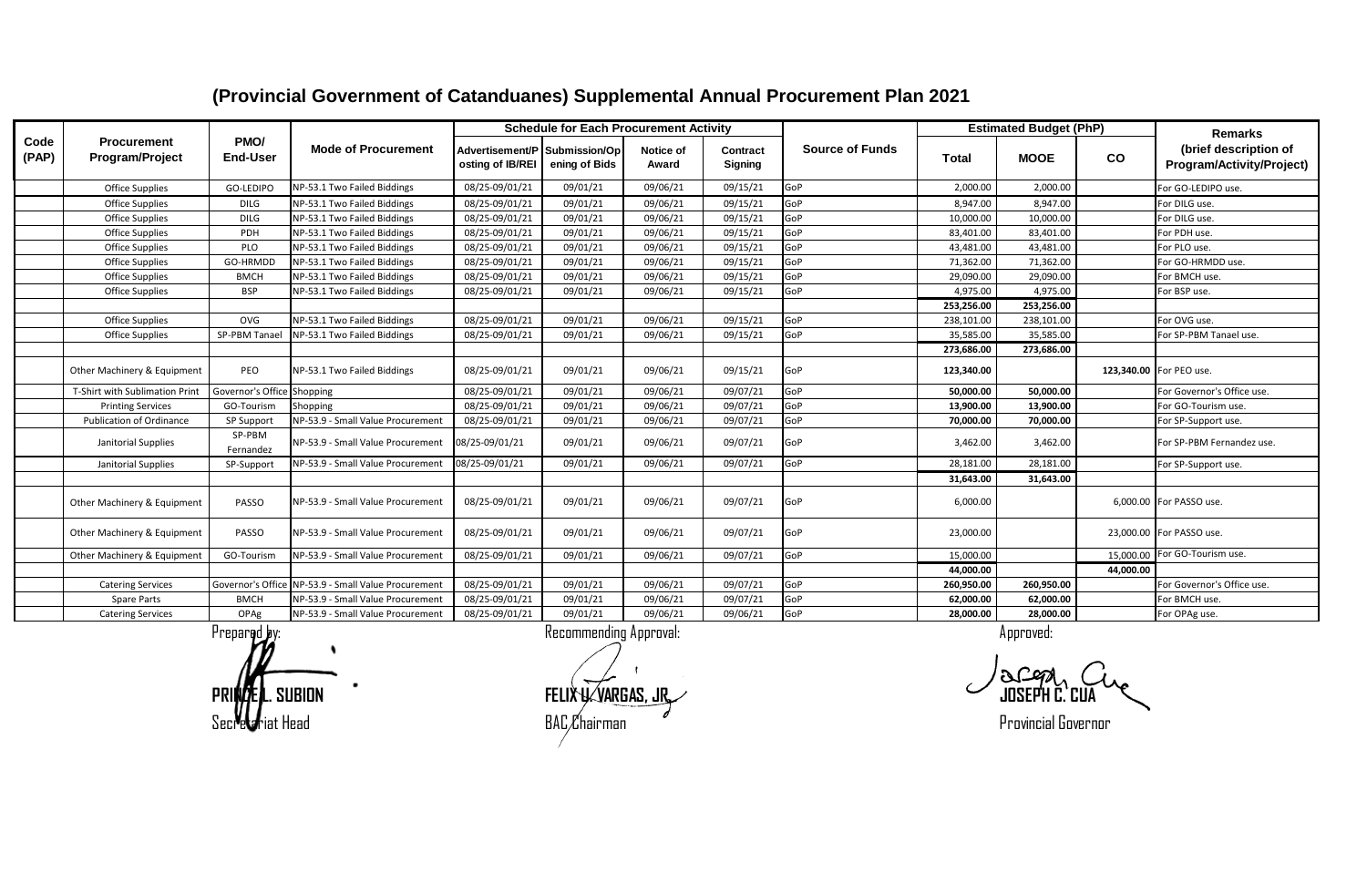|               |                                       |                            |                                                     |                                                   | <b>Schedule for Each Procurement Activity</b> |                    |                     |                        |              | <b>Estimated Budget (PhP)</b> |           | <b>Remarks</b>                                     |
|---------------|---------------------------------------|----------------------------|-----------------------------------------------------|---------------------------------------------------|-----------------------------------------------|--------------------|---------------------|------------------------|--------------|-------------------------------|-----------|----------------------------------------------------|
| Code<br>(PAP) | <b>Procurement</b><br>Program/Project | PMO/<br><b>End-User</b>    | <b>Mode of Procurement</b>                          | Advertisement/P Submission/Op<br>osting of IB/REI | ening of Bids                                 | Notice of<br>Award | Contract<br>Signing | <b>Source of Funds</b> | <b>Total</b> | <b>MOOE</b>                   | co        | (brief description of<br>Program/Activity/Project) |
|               | <b>Office Supplies</b>                | GO-LEDIPO                  | NP-53.1 Two Failed Biddings                         | 08/25-09/01/21                                    | 09/01/21                                      | 09/06/21           | 09/15/21            | GoP                    | 2,000.00     | 2,000.00                      |           | For GO-LEDIPO use.                                 |
|               | <b>Office Supplies</b>                | <b>DILG</b>                | NP-53.1 Two Failed Biddings                         | 08/25-09/01/21                                    | 09/01/21                                      | 09/06/21           | 09/15/21            | GoP                    | 8.947.00     | 8.947.00                      |           | For DILG use.                                      |
|               | <b>Office Supplies</b>                | <b>DILG</b>                | NP-53.1 Two Failed Biddings                         | 08/25-09/01/21                                    | 09/01/21                                      | 09/06/21           | 09/15/21            | GoP                    | 10,000.00    | 10,000.00                     |           | For DILG use.                                      |
|               | <b>Office Supplies</b>                | PDH                        | NP-53.1 Two Failed Biddings                         | 08/25-09/01/21                                    | 09/01/21                                      | 09/06/21           | 09/15/21            | GoP                    | 83,401.00    | 83,401.00                     |           | For PDH use.                                       |
|               | <b>Office Supplies</b>                | PLO                        | NP-53.1 Two Failed Biddings                         | 08/25-09/01/21                                    | 09/01/21                                      | 09/06/21           | 09/15/21            | GoP                    | 43,481.00    | 43,481.00                     |           | For PLO use.                                       |
|               | <b>Office Supplies</b>                | GO-HRMDD                   | NP-53.1 Two Failed Biddings                         | 08/25-09/01/21                                    | 09/01/21                                      | 09/06/21           | 09/15/21            | GoP                    | 71,362.00    | 71,362.00                     |           | For GO-HRMDD use.                                  |
|               | <b>Office Supplies</b>                | <b>BMCH</b>                | NP-53.1 Two Failed Biddings                         | 08/25-09/01/21                                    | 09/01/21                                      | 09/06/21           | 09/15/21            | GoP                    | 29,090.00    | 29,090.00                     |           | For BMCH use.                                      |
|               | Office Supplies                       | <b>BSP</b>                 | NP-53.1 Two Failed Biddings                         | 08/25-09/01/21                                    | 09/01/21                                      | 09/06/21           | 09/15/21            | GoP                    | 4,975.00     | 4,975.00                      |           | For BSP use.                                       |
|               |                                       |                            |                                                     |                                                   |                                               |                    |                     |                        | 253,256.00   | 253,256.00                    |           |                                                    |
|               | <b>Office Supplies</b>                | <b>OVG</b>                 | NP-53.1 Two Failed Biddings                         | 08/25-09/01/21                                    | 09/01/21                                      | 09/06/21           | 09/15/21            | GoP                    | 238.101.00   | 238,101.00                    |           | For OVG use.                                       |
|               | <b>Office Supplies</b>                | SP-PBM Tana                | NP-53.1 Two Failed Biddings                         | 08/25-09/01/21                                    | 09/01/21                                      | 09/06/21           | 09/15/21            | GoP                    | 35.585.00    | 35,585.00                     |           | For SP-PBM Tanael use.                             |
|               |                                       |                            |                                                     |                                                   |                                               |                    |                     |                        | 273,686.00   | 273,686.00                    |           |                                                    |
|               | Other Machinery & Equipment           | PEO                        | NP-53.1 Two Failed Biddings                         | 08/25-09/01/21                                    | 09/01/21                                      | 09/06/21           | 09/15/21            | GoP                    | 123,340.00   |                               |           | 123,340.00 For PEO use.                            |
|               | T-Shirt with Sublimation Print        | Governor's Office Shopping |                                                     | 08/25-09/01/21                                    | 09/01/21                                      | 09/06/21           | 09/07/21            | GoP                    | 50,000.00    | 50,000.00                     |           | For Governor's Office use.                         |
|               | <b>Printing Services</b>              | GO-Tourism                 | Shopping                                            | 08/25-09/01/21                                    | 09/01/21                                      | 09/06/21           | 09/07/21            | GoP                    | 13.900.00    | 13,900.00                     |           | For GO-Tourism use.                                |
|               | <b>Publication of Ordinance</b>       | <b>SP Support</b>          | NP-53.9 - Small Value Procurement                   | 08/25-09/01/21                                    | 09/01/21                                      | 09/06/21           | 09/07/21            | GoP                    | 70,000.00    | 70,000.00                     |           | For SP-Support use.                                |
|               | Janitorial Supplies                   | SP-PBM<br>Fernandez        | NP-53.9 - Small Value Procurement                   | 08/25-09/01/21                                    | 09/01/21                                      | 09/06/21           | 09/07/21            | GoP                    | 3,462.00     | 3,462.00                      |           | For SP-PBM Fernandez use.                          |
|               | Janitorial Supplies                   | SP-Support                 | NP-53.9 - Small Value Procurement                   | 08/25-09/01/21                                    | 09/01/21                                      | 09/06/21           | 09/07/21            | GoP                    | 28,181.00    | 28,181.00                     |           | For SP-Support use.                                |
|               |                                       |                            |                                                     |                                                   |                                               |                    |                     |                        | 31,643.00    | 31,643.00                     |           |                                                    |
|               | Other Machinery & Equipment           | PASSO                      | NP-53.9 - Small Value Procurement                   | 08/25-09/01/21                                    | 09/01/21                                      | 09/06/21           | 09/07/21            | GoP                    | 6,000.00     |                               |           | 6,000.00 For PASSO use.                            |
|               | Other Machinery & Equipment           | PASSO                      | NP-53.9 - Small Value Procurement                   | 08/25-09/01/21                                    | 09/01/21                                      | 09/06/21           | 09/07/21            | GoP                    | 23,000.00    |                               |           | 23.000.00 For PASSO use.                           |
|               | Other Machinery & Equipment           | GO-Tourism                 | NP-53.9 - Small Value Procurement                   | 08/25-09/01/21                                    | 09/01/21                                      | 09/06/21           | 09/07/21            | GoP                    | 15,000.00    |                               |           | 15,000.00 For GO-Tourism use.                      |
|               |                                       |                            |                                                     |                                                   |                                               |                    |                     |                        | 44,000.00    |                               | 44,000.00 |                                                    |
|               | <b>Catering Services</b>              |                            | Governor's Office NP-53.9 - Small Value Procurement | 08/25-09/01/21                                    | 09/01/21                                      | 09/06/21           | 09/07/21            | GoP                    | 260,950.00   | 260,950.00                    |           | For Governor's Office use.                         |
|               | Spare Parts                           | <b>BMCH</b>                | NP-53.9 - Small Value Procurement                   | 08/25-09/01/21                                    | 09/01/21                                      | 09/06/21           | 09/07/21            | GoP                    | 62,000.00    | 62,000.00                     |           | For BMCH use.                                      |
|               | <b>Catering Services</b>              | OPAg                       | NP-53.9 - Small Value Procurement                   | 08/25-09/01/21                                    | 09/01/21                                      | 09/06/21           | 09/06/21            | GoP                    | 28,000.00    | 28,000.00                     |           | For OPAg use.                                      |

Prepared by: a commending Approval: Approved: Approved: Approved: Approved: Approved: Approved: Approved: Approved:

**PRINCE L. SUBION FELIX U. VARGAS, JR. JOSEPH C. CUA** Secretariat Head **BAC** Chairman Chairman Chairman Chairman Chairman Chairman Chairman Chairman Chairman Chairman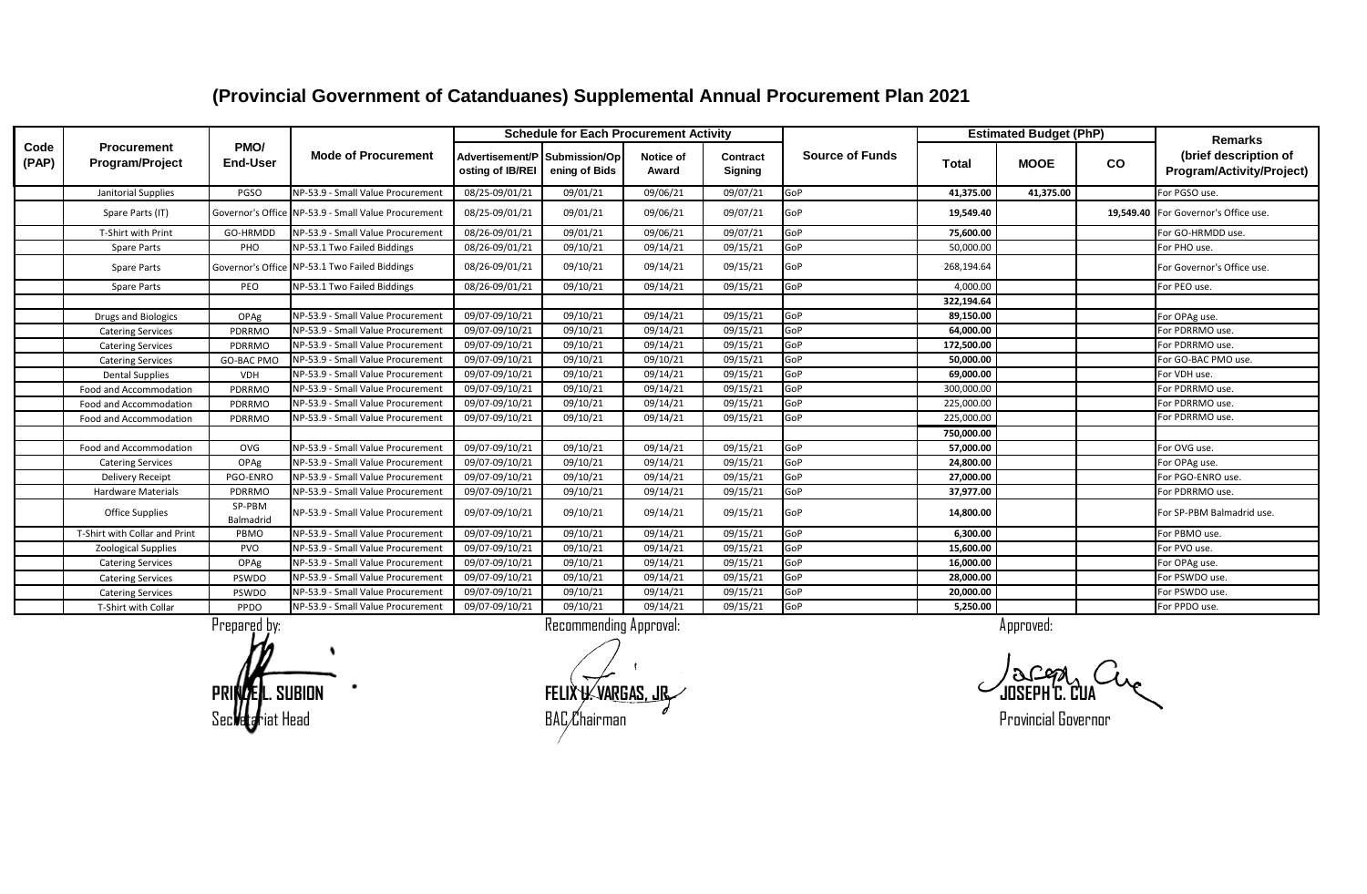#### **Advertisement/P osting of IB/REI Submission/Op ening of Bids Notice of Award Contract Signing Total MOOE CO** Janitorial Supplies PGSO NP-53.9 - Small Value Procurement 08/25-09/01/21 09/01/21 09/06/21 09/07/21 GoP **41,375.00 41,375.00** For PGSO use. Spare Parts (IT) Governor's Office NP-53.9 - Small Value Procurement 08/25-09/01/21 09/01/21 09/06/21 09/07/21 GoP 19,549.40 19,549.40 19,549.40 19,549.40 For Governor's Office use. T-Shirt with Print GO-HRMDD NP-53.9 - Small Value Procurement 08/26-09/01/21 09/01/21 09/06/21 09/07/21 GoP **75,600.00** For GO-HRMDD use. Spare Parts PHO NP-53.1 Two Failed Biddings (08/26-09/01/21 09/10/21 09/14/21 09/15/21 GoP 50,000.00 For PHO use. Spare Parts Governor's Office NP-53.1 Two Failed Biddings (08/26-09/01/21 09/10/21 09/14/21 09/15/21 GoP 268,194.64 For Governor's Office use. Spare Parts PEO NP-53.1 Two Failed Biddings (08/26-09/01/21 09/10/21 09/14/21 09/15/21 GoP 14,000.00 For PEO use.  **322,194.64** Drugs and Biologics OPAg NP-53.9 - Small Value Procurement 09/07-09/10/21 09/10/21 09/14/21 09/15/21 GoP **89,150.00** For OPAg use. Catering Services **PDRRMO** NP-53.9 - Small Value Procurement 09/07-09/10/21 09/10/21 09/14/21 09/15/21 GoP **64,000.00 For PDRRMO use.** Catering Services PDRRMO NP-53.9 - Small Value Procurement 09/07-09/10/21 09/10/21 09/14/21 09/15/21 GoP **172,500.00** For PDRRMO use. Catering Services GO-BAC PMO NP-53.9 - Small Value Procurement 09/07-09/10/21 09/10/21 09/10/21 09/15/21 GoP **50,000.00** 50,000.00 Dental Supplies VDH NP-53.9 - Small Value Procurement 09/07-09/10/21 09/10/21 09/14/21 09/15/21 GoP **69,000.00** For VDH use. Food and Accommodation PDRRMO NP-53.9 - Small Value Procurement 09/07-09/10/21 09/10/21 09/14/21 09/14/21 GoP 300,000.00 For PDRRMO use. Food and Accommodation PDRRMO NP-53.9 - Small Value Procurement 09/07-09/10/21 09/10/21 09/14/21 09/15/21 GoP 225,000.00 For PDRRMO use. Food and Accommodation PDRRMO NP-53.9 - Small Value Procurement 09/07-09/10/21 09/10/21 09/14/21 09/15/21 GoP 225,000.00 For PDRRMO use.  **750,000.00** Food and Accommodation OVG NP-53.9 - Small Value Procurement 09/07-09/10/21 09/10/21 09/14/21 09/15/21 GoP **57,000.00** For OVG use. Catering Services OPAg NP-53.9 - Small Value Procurement 09/07-09/10/21 09/10/21 09/14/21 09/15/21 GoP **24,800.00** For OPAg use. Delivery Receipt PGO-ENRO NP-53.9 - Small Value Procurement 09/07-09/10/21 09/10/21 09/14/21 09/15/21 GoP **27,000.00** For PGO-ENRO use. Hardware Materials | PDRRMO NP-53.9 - Small Value Procurement | 09/07-09/10/21 | 09/10/21 | 09/14/21 | 09/15/21 | GoP | 37,**977.00** | Tor PDRRMO use. Office Supplies SP-PBM Balmadrid NP-53.9 - Small Value Procurement 09/07-09/10/21 09/10/21 09/14/21 09/15/21 GoP **14,800.00** For SP-PBM Balmadrid use. T-Shirt with Collar and Print PBMO NP-53.9 - Small Value Procurement 09/07-09/10/21 09/10/21 09/14/21 09/15/21 GoP **6,300.00** For PBMO use. Zoological Supplies PVO NP-53.9 - Small Value Procurement 09/07-09/10/21 09/10/21 09/14/21 09/15/21 GoP **15,600.00** For PVO use. Catering Services **OPAg NP-53.9 - Small Value Procurement** 09/07-09/10/21 09/10/21 09/14/21 09/14/21 GoP **16,000.00** 16,000.00 Catering Services PSWDO NP-53.9 - Small Value Procurement 09/07-09/10/21 09/10/21 09/14/21 09/15/21 GoP **28,000.00** For PSWDO use. Catering Services PSWDO NP-53.9 - Small Value Procurement 09/07-09/10/21 09/10/21 09/14/21 09/15/21 GoP **20,000.00** For PSWDO use. T-Shirt with Collar PPDO NP-53.9 - Small Value Procurement 09/07-09/10/21 09/10/21 09/14/21 09/15/21 GoP **5,250.00** For PPDO use. **Code (PAP) Procurement Program/Project PMO/ End-User Mode of Procurement Estimated Budget (PhP) Remarks (brief description of Program/Activity/Project) Schedule for Each Procurement Activity Source of Funds**

#### **(Provincial Government of Catanduanes) Supplemental Annual Procurement Plan 2021**

**PRINCE L. SUBION FELIX U. VARGAS, JR. JOSEPH C. CUA** Secretariat Head BAC Chairman Provincial Governor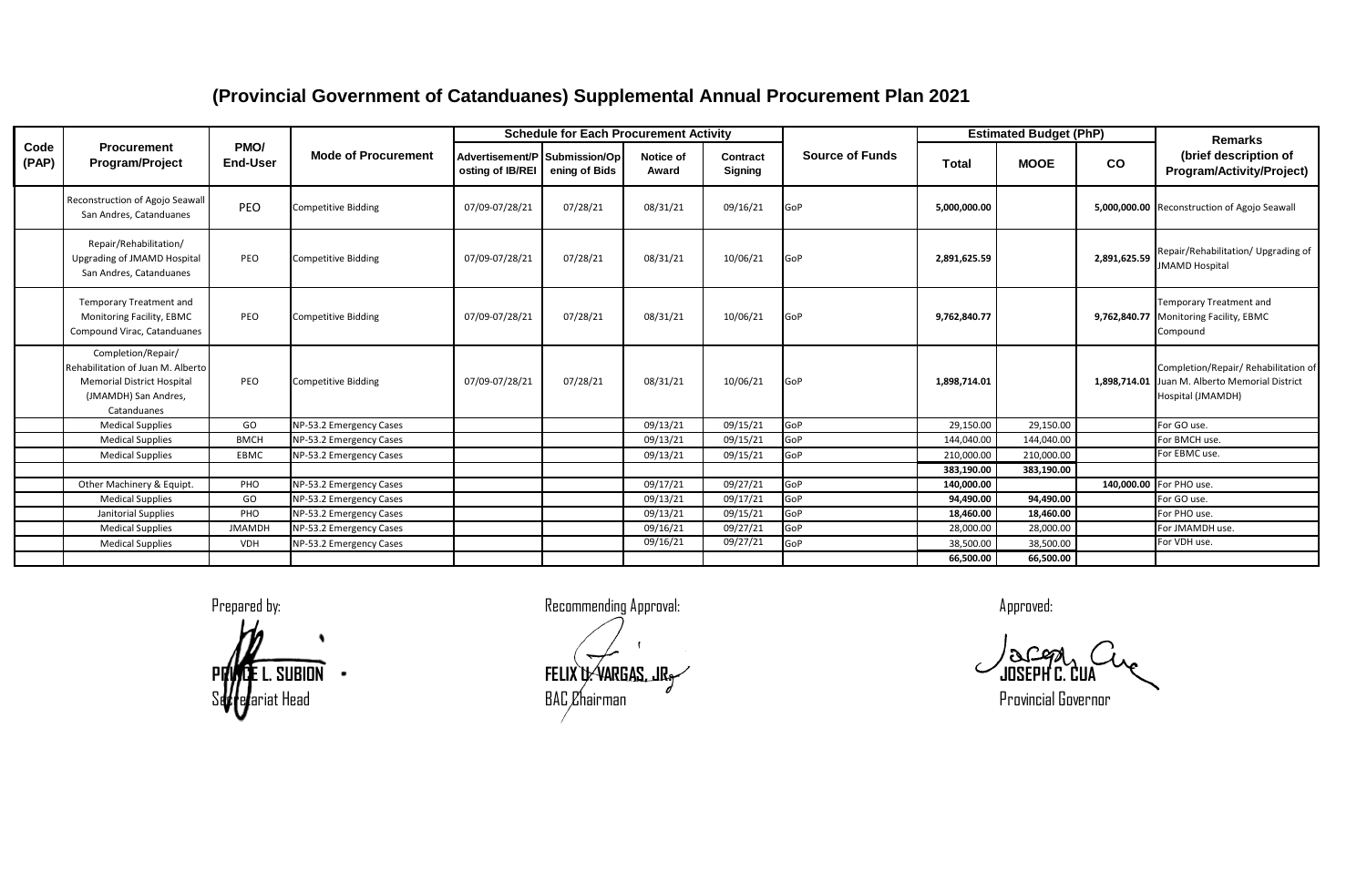|               |                                                                                                                                     |                             |                                                    |                                                   | <b>Schedule for Each Procurement Activity</b> |                      |                            |                        |                        | <b>Estimated Budget (PhP)</b> |              | Remarks                                                                                                     |
|---------------|-------------------------------------------------------------------------------------------------------------------------------------|-----------------------------|----------------------------------------------------|---------------------------------------------------|-----------------------------------------------|----------------------|----------------------------|------------------------|------------------------|-------------------------------|--------------|-------------------------------------------------------------------------------------------------------------|
| Code<br>(PAP) | <b>Procurement</b><br>Program/Project                                                                                               | PMO/<br><b>End-User</b>     | <b>Mode of Procurement</b>                         | Advertisement/P Submission/Op<br>osting of IB/REI | ening of Bids                                 | Notice of<br>Award   | Contract<br><b>Signing</b> | <b>Source of Funds</b> | Total                  | <b>MOOE</b>                   | <b>CO</b>    | (brief description of<br>Program/Activity/Project)                                                          |
|               | Reconstruction of Agojo Seawall<br>San Andres, Catanduanes                                                                          | PEO                         | <b>Competitive Bidding</b>                         | 07/09-07/28/21                                    | 07/28/21                                      | 08/31/21             | 09/16/21                   | GoP                    | 5,000,000.00           |                               |              | 5,000,000.00 Reconstruction of Agojo Seawall                                                                |
|               | Repair/Rehabilitation/<br>Upgrading of JMAMD Hospital<br>San Andres, Catanduanes                                                    | PEO                         | <b>Competitive Bidding</b>                         | 07/09-07/28/21                                    | 07/28/21                                      | 08/31/21             | 10/06/21                   | GoP                    | 2,891,625.59           |                               | 2,891,625.59 | Repair/Rehabilitation/ Upgrading of<br><b>JMAMD Hospital</b>                                                |
|               | <b>Temporary Treatment and</b><br>Monitoring Facility, EBMC<br>Compound Virac, Catanduanes                                          | PEO                         | <b>Competitive Bidding</b>                         | 07/09-07/28/21                                    | 07/28/21                                      | 08/31/21             | 10/06/21                   | GoP                    | 9,762,840.77           |                               |              | <b>Temporary Treatment and</b><br>9,762,840.77 Monitoring Facility, EBMC<br>Compound                        |
|               | Completion/Repair/<br>Rehabilitation of Juan M. Alberto<br><b>Memorial District Hospital</b><br>(JMAMDH) San Andres,<br>Catanduanes | PEO                         | <b>Competitive Bidding</b>                         | 07/09-07/28/21                                    | 07/28/21                                      | 08/31/21             | 10/06/21                   | GoP                    | 1,898,714.01           |                               |              | Completion/Repair/ Rehabilitation of<br>1,898,714.01 Juan M. Alberto Memorial District<br>Hospital (JMAMDH) |
|               | <b>Medical Supplies</b>                                                                                                             | GO                          | NP-53.2 Emergency Cases                            |                                                   |                                               | 09/13/21             | 09/15/21                   | GoP                    | 29,150.00              | 29,150.00                     |              | For GO use.                                                                                                 |
|               | <b>Medical Supplies</b>                                                                                                             | <b>BMCH</b>                 | NP-53.2 Emergency Cases                            |                                                   |                                               | 09/13/21             | 09/15/21                   | GoP                    | 144,040.00             | 144,040.00                    |              | For BMCH use.                                                                                               |
|               | <b>Medical Supplies</b>                                                                                                             | EBMC                        | NP-53.2 Emergency Cases                            |                                                   |                                               | 09/13/21             | 09/15/21                   | GoP                    | 210,000.00             | 210,000.00                    |              | For EBMC use.                                                                                               |
|               |                                                                                                                                     |                             |                                                    |                                                   |                                               |                      |                            |                        | 383,190.00             | 383,190.00                    |              |                                                                                                             |
|               | Other Machinery & Equipt.                                                                                                           | PHO                         | NP-53.2 Emergency Cases                            |                                                   |                                               | 09/17/21             | 09/27/21                   | GoP                    | 140,000.00             |                               |              | 140,000.00 For PHO use.                                                                                     |
|               | <b>Medical Supplies</b>                                                                                                             | GO                          | NP-53.2 Emergency Cases                            |                                                   |                                               | 09/13/21             | 09/17/21                   | GoP                    | 94.490.00              | 94,490.00                     |              | For GO use.                                                                                                 |
|               | Janitorial Supplies                                                                                                                 | PHO                         | NP-53.2 Emergency Cases                            |                                                   |                                               | 09/13/21             | 09/15/21                   | GoP<br>GoP             | 18,460.00<br>28,000.00 | 18,460.00<br>28,000.00        |              | For PHO use.<br>For JMAMDH use.                                                                             |
|               | <b>Medical Supplies</b><br><b>Medical Supplies</b>                                                                                  | <b>JMAMDH</b><br><b>VDH</b> | NP-53.2 Emergency Cases<br>NP-53.2 Emergency Cases |                                                   |                                               | 09/16/21<br>09/16/21 | 09/27/21<br>09/27/21       | GoP                    | 38,500.00              | 38,500.00                     |              | For VDH use.                                                                                                |
|               |                                                                                                                                     |                             |                                                    |                                                   |                                               |                      |                            |                        | 66.500.00              | 66,500.00                     |              |                                                                                                             |

**PRINCE L. SUBION FELIX U. VARGAS, JR. JOSEPH C. CUA** Secretariat Head BAC Chairman Provincial Governor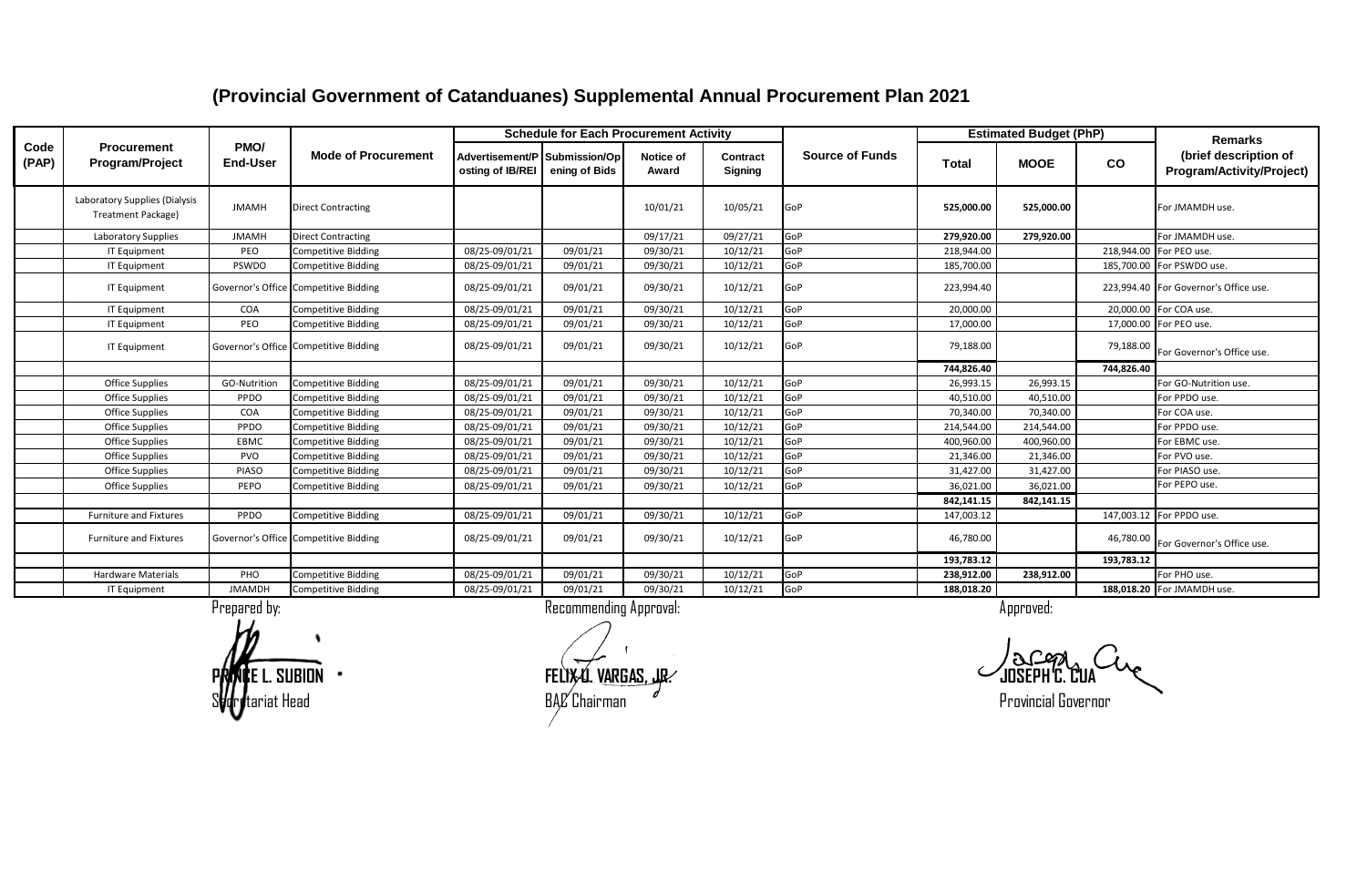|               |                                                     |                         |                                       |                                                   | <b>Schedule for Each Procurement Activity</b> |                    |                     |                        |            | <b>Estimated Budget (PhP)</b> |            | <b>Remarks</b>                                     |
|---------------|-----------------------------------------------------|-------------------------|---------------------------------------|---------------------------------------------------|-----------------------------------------------|--------------------|---------------------|------------------------|------------|-------------------------------|------------|----------------------------------------------------|
| Code<br>(PAP) | Procurement<br>Program/Project                      | PMO/<br><b>End-User</b> | <b>Mode of Procurement</b>            | Advertisement/P Submission/Op<br>osting of IB/REI | ening of Bids                                 | Notice of<br>Award | Contract<br>Signing | <b>Source of Funds</b> | Total      | <b>MOOE</b>                   | CO         | (brief description of<br>Program/Activity/Project) |
|               | Laboratory Supplies (Dialysis<br>Treatment Package) | <b>JMAMH</b>            | <b>Direct Contracting</b>             |                                                   |                                               | 10/01/21           | 10/05/21            | GoP                    | 525,000.00 | 525,000.00                    |            | For JMAMDH use.                                    |
|               | <b>Laboratory Supplies</b>                          | <b>JMAMH</b>            | <b>Direct Contracting</b>             |                                                   |                                               | 09/17/21           | 09/27/21            | GoP                    | 279.920.00 | 279,920.00                    |            | For JMAMDH use.                                    |
|               | <b>IT Equipment</b>                                 | PEO                     | <b>Competitive Bidding</b>            | 08/25-09/01/21                                    | 09/01/21                                      | 09/30/21           | 10/12/21            | GoP                    | 218,944.00 |                               |            | 218,944.00 For PEO use.                            |
|               | IT Equipment                                        | PSWDO                   | Competitive Bidding                   | 08/25-09/01/21                                    | 09/01/21                                      | 09/30/21           | 10/12/21            | GoP                    | 185,700.00 |                               |            | 185,700.00 For PSWDO use.                          |
|               | <b>IT Equipment</b>                                 |                         | Governor's Office Competitive Bidding | 08/25-09/01/21                                    | 09/01/21                                      | 09/30/21           | 10/12/21            | GoP                    | 223,994.40 |                               |            | 223,994.40 For Governor's Office use.              |
|               | IT Equipment                                        | COA                     | <b>Competitive Bidding</b>            | 08/25-09/01/21                                    | 09/01/21                                      | 09/30/21           | 10/12/21            | GoP                    | 20.000.00  |                               |            | 20,000.00 For COA use.                             |
|               | IT Equipment                                        | PEO                     | <b>Competitive Bidding</b>            | 08/25-09/01/21                                    | 09/01/21                                      | 09/30/21           | 10/12/21            | GoP                    | 17,000.00  |                               |            | 17,000.00 For PEO use.                             |
|               | <b>IT Equipment</b>                                 |                         | Governor's Office Competitive Bidding | 08/25-09/01/21                                    | 09/01/21                                      | 09/30/21           | 10/12/21            | GoP                    | 79,188.00  |                               | 79,188.00  | For Governor's Office use.                         |
|               |                                                     |                         |                                       |                                                   |                                               |                    |                     |                        | 744,826.40 |                               | 744,826.40 |                                                    |
|               | <b>Office Supplies</b>                              | GO-Nutrition            | <b>Competitive Bidding</b>            | 08/25-09/01/21                                    | 09/01/21                                      | 09/30/21           | 10/12/21            | GoP                    | 26,993.15  | 26,993.15                     |            | For GO-Nutrition use.                              |
|               | <b>Office Supplies</b>                              | PPDO                    | <b>Competitive Bidding</b>            | 08/25-09/01/21                                    | 09/01/21                                      | 09/30/21           | 10/12/21            | GoP                    | 40,510.00  | 40,510.00                     |            | For PPDO use.                                      |
|               | Office Supplies                                     | COA                     | <b>Competitive Bidding</b>            | 08/25-09/01/21                                    | 09/01/21                                      | 09/30/21           | 10/12/21            | GoP                    | 70,340.00  | 70,340.00                     |            | For COA use.                                       |
|               | <b>Office Supplies</b>                              | PPDO                    | <b>Competitive Bidding</b>            | 08/25-09/01/21                                    | 09/01/21                                      | 09/30/21           | 10/12/21            | GoP                    | 214,544.00 | 214,544.00                    |            | For PPDO use.                                      |
|               | <b>Office Supplies</b>                              | EBMC                    | <b>Competitive Bidding</b>            | 08/25-09/01/21                                    | 09/01/21                                      | 09/30/21           | 10/12/21            | GoP                    | 400,960.00 | 400,960.00                    |            | For EBMC use.                                      |
|               | <b>Office Supplies</b>                              | <b>PVO</b>              | <b>Competitive Bidding</b>            | 08/25-09/01/21                                    | 09/01/21                                      | 09/30/21           | 10/12/21            | GoP                    | 21,346.00  | 21,346.00                     |            | For PVO use.                                       |
|               | <b>Office Supplies</b>                              | PIASO                   | <b>Competitive Bidding</b>            | 08/25-09/01/21                                    | 09/01/21                                      | 09/30/21           | 10/12/21            | GoP                    | 31,427.00  | 31,427.00                     |            | For PIASO use.                                     |
|               | <b>Office Supplies</b>                              | PEPO                    | <b>Competitive Bidding</b>            | 08/25-09/01/21                                    | 09/01/21                                      | 09/30/21           | 10/12/21            | GoP                    | 36,021.00  | 36,021.00                     |            | For PEPO use.                                      |
|               |                                                     |                         |                                       |                                                   |                                               |                    |                     |                        | 842,141.15 | 842,141.15                    |            |                                                    |
|               | <b>Furniture and Fixtures</b>                       | PPDO                    | <b>Competitive Bidding</b>            | 08/25-09/01/21                                    | 09/01/21                                      | 09/30/21           | 10/12/21            | GoP                    | 147,003.12 |                               |            | 147,003.12 For PPDO use.                           |
|               | <b>Furniture and Fixtures</b>                       |                         | Governor's Office Competitive Bidding | 08/25-09/01/21                                    | 09/01/21                                      | 09/30/21           | 10/12/21            | GoP                    | 46,780.00  |                               | 46,780.00  | For Governor's Office use.                         |
|               |                                                     |                         |                                       |                                                   |                                               |                    |                     |                        | 193,783.12 |                               | 193,783.12 |                                                    |
|               | <b>Hardware Materials</b>                           | PHO                     | <b>Competitive Bidding</b>            | 08/25-09/01/21                                    | 09/01/21                                      | 09/30/21           | 10/12/21            | GoP                    | 238,912.00 | 238,912.00                    |            | For PHO use.                                       |
|               | IT Equipment                                        | <b>JMAMDH</b>           | <b>Competitive Bidding</b>            | 08/25-09/01/21                                    | 09/01/21                                      | 09/30/21           | 10/12/21            | GoP                    | 188,018.20 |                               |            | 188,018.20 For JMAMDH use.                         |
|               |                                                     | Prepared by:            |                                       |                                                   | Recommending Approval:                        |                    |                     |                        |            | Approved:                     |            |                                                    |

**PRINCE L. SUBION FELIX U. VARGAS, JR. JOSEPH C. CUA**  $\epsilon$ ariat Head  ${\rm Spec}$   ${\rm End}$   ${\rm Spec}$   ${\rm End}$   ${\rm End}$   ${\rm Spec}$   ${\rm End}$   ${\rm Spec}$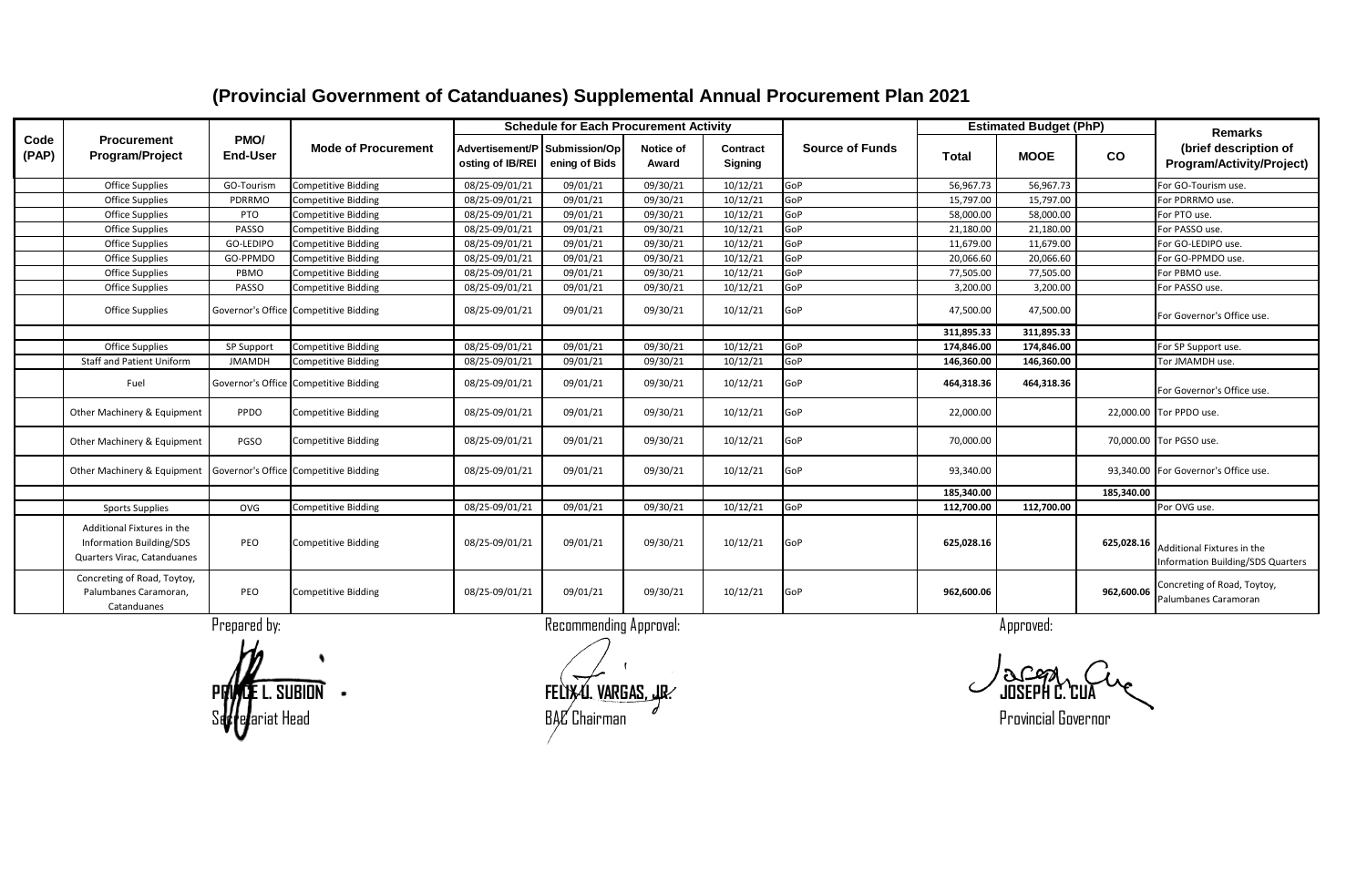|               |                                                                                       |                         |                                       |                                                   | <b>Schedule for Each Procurement Activity</b> |                    |                            |                        |              | <b>Estimated Budget (PhP)</b> |            | <b>Remarks</b>                                                  |
|---------------|---------------------------------------------------------------------------------------|-------------------------|---------------------------------------|---------------------------------------------------|-----------------------------------------------|--------------------|----------------------------|------------------------|--------------|-------------------------------|------------|-----------------------------------------------------------------|
| Code<br>(PAP) | <b>Procurement</b><br><b>Program/Project</b>                                          | PMO/<br><b>End-User</b> | <b>Mode of Procurement</b>            | Advertisement/P Submission/Op<br>osting of IB/REI | ening of Bids                                 | Notice of<br>Award | Contract<br><b>Signing</b> | <b>Source of Funds</b> | <b>Total</b> | <b>MOOE</b>                   | CO         | (brief description of<br>Program/Activity/Project)              |
|               | <b>Office Supplies</b>                                                                | GO-Tourism              | <b>Competitive Bidding</b>            | 08/25-09/01/21                                    | 09/01/21                                      | 09/30/21           | 10/12/21                   | GoP                    | 56,967.73    | 56,967.73                     |            | For GO-Tourism use.                                             |
|               | <b>Office Supplies</b>                                                                | PDRRMO                  | <b>Competitive Bidding</b>            | 08/25-09/01/21                                    | 09/01/21                                      | 09/30/21           | 10/12/21                   | GoP                    | 15,797.00    | 15,797.00                     |            | For PDRRMO use.                                                 |
|               | <b>Office Supplies</b>                                                                | PTO                     | <b>Competitive Bidding</b>            | 08/25-09/01/21                                    | 09/01/21                                      | 09/30/21           | 10/12/21                   | GoP                    | 58,000.00    | 58,000.00                     |            | For PTO use.                                                    |
|               | <b>Office Supplies</b>                                                                | PASSO                   | <b>Competitive Bidding</b>            | 08/25-09/01/21                                    | 09/01/21                                      | 09/30/21           | 10/12/21                   | GoP                    | 21,180.00    | 21,180.00                     |            | For PASSO use.                                                  |
|               | <b>Office Supplies</b>                                                                | GO-LEDIPO               | <b>Competitive Bidding</b>            | 08/25-09/01/21                                    | 09/01/21                                      | 09/30/21           | 10/12/21                   | GoP                    | 11,679.00    | 11,679.00                     |            | For GO-LEDIPO use.                                              |
|               | <b>Office Supplies</b>                                                                | GO-PPMDO                | <b>Competitive Bidding</b>            | 08/25-09/01/21                                    | 09/01/21                                      | 09/30/21           | 10/12/21                   | GoP                    | 20,066.60    | 20,066.60                     |            | For GO-PPMDO use.                                               |
|               | <b>Office Supplies</b>                                                                | PBMO                    | <b>Competitive Bidding</b>            | 08/25-09/01/21                                    | 09/01/21                                      | 09/30/21           | 10/12/21                   | GoP                    | 77,505.00    | 77,505.00                     |            | For PBMO use.                                                   |
|               | <b>Office Supplies</b>                                                                | PASSO                   | <b>Competitive Bidding</b>            | 08/25-09/01/21                                    | 09/01/21                                      | 09/30/21           | 10/12/21                   | GoP                    | 3,200.00     | 3,200.00                      |            | For PASSO use.                                                  |
|               | <b>Office Supplies</b>                                                                |                         | Governor's Office Competitive Bidding | 08/25-09/01/21                                    | 09/01/21                                      | 09/30/21           | 10/12/21                   | GoP                    | 47,500.00    | 47,500.00                     |            | For Governor's Office use.                                      |
|               |                                                                                       |                         |                                       |                                                   |                                               |                    |                            |                        | 311.895.33   | 311.895.33                    |            |                                                                 |
|               | <b>Office Supplies</b>                                                                | SP Support              | <b>Competitive Bidding</b>            | 08/25-09/01/21                                    | 09/01/21                                      | 09/30/21           | 10/12/21                   | GoP                    | 174.846.00   | 174.846.00                    |            | For SP Support use.                                             |
|               | <b>Staff and Patient Uniform</b>                                                      | <b>JMAMDH</b>           | <b>Competitive Bidding</b>            | 08/25-09/01/21                                    | 09/01/21                                      | 09/30/21           | 10/12/21                   | GoP                    | 146,360.00   | 146,360.00                    |            | Tor JMAMDH use.                                                 |
|               | Fuel                                                                                  |                         | Governor's Office Competitive Bidding | 08/25-09/01/21                                    | 09/01/21                                      | 09/30/21           | 10/12/21                   | GoP                    | 464,318.36   | 464,318.36                    |            | For Governor's Office use.                                      |
|               | Other Machinery & Equipment                                                           | PPDO                    | <b>Competitive Bidding</b>            | 08/25-09/01/21                                    | 09/01/21                                      | 09/30/21           | 10/12/21                   | GoP                    | 22,000.00    |                               |            | 22,000.00 Tor PPDO use.                                         |
|               | Other Machinery & Equipment                                                           | PGSO                    | <b>Competitive Bidding</b>            | 08/25-09/01/21                                    | 09/01/21                                      | 09/30/21           | 10/12/21                   | GoP                    | 70,000.00    |                               |            | 70,000.00 Tor PGSO use.                                         |
|               | Other Machinery & Equipment                                                           |                         | Governor's Office Competitive Bidding | 08/25-09/01/21                                    | 09/01/21                                      | 09/30/21           | 10/12/21                   | GoP                    | 93,340.00    |                               |            | 93,340.00 For Governor's Office use.                            |
|               |                                                                                       |                         |                                       |                                                   |                                               |                    |                            |                        | 185,340.00   |                               | 185,340.00 |                                                                 |
|               | <b>Sports Supplies</b>                                                                | OVG                     | <b>Competitive Bidding</b>            | 08/25-09/01/21                                    | 09/01/21                                      | 09/30/21           | 10/12/21                   | GoP                    | 112,700.00   | 112,700.00                    |            | Por OVG use.                                                    |
|               | Additional Fixtures in the<br>Information Building/SDS<br>Quarters Virac, Catanduanes | PEO                     | <b>Competitive Bidding</b>            | 08/25-09/01/21                                    | 09/01/21                                      | 09/30/21           | 10/12/21                   | GoP                    | 625,028.16   |                               | 625,028.16 | Additional Fixtures in the<br>Information Building/SDS Quarters |
|               | Concreting of Road, Toytoy,<br>Palumbanes Caramoran,<br>Catanduanes                   | PEO                     | <b>Competitive Bidding</b>            | 08/25-09/01/21                                    | 09/01/21                                      | 09/30/21           | 10/12/21                   | GoP                    | 962,600.06   |                               | 962,600.06 | Concreting of Road, Toytoy,<br>Palumbanes Caramoran             |
|               |                                                                                       | Prepared by:            |                                       |                                                   | Recommending Approval:                        |                    |                            |                        |              | Approved:                     |            |                                                                 |

**PRINCE L. SUBION FELIX U. VARGAS, JR. JOSEPH C. CUA** ariat Head  $\rm B{AC}$  Chairman  $\rm C{B}$   $\rm C{B}$  ariat Head Provincial Governor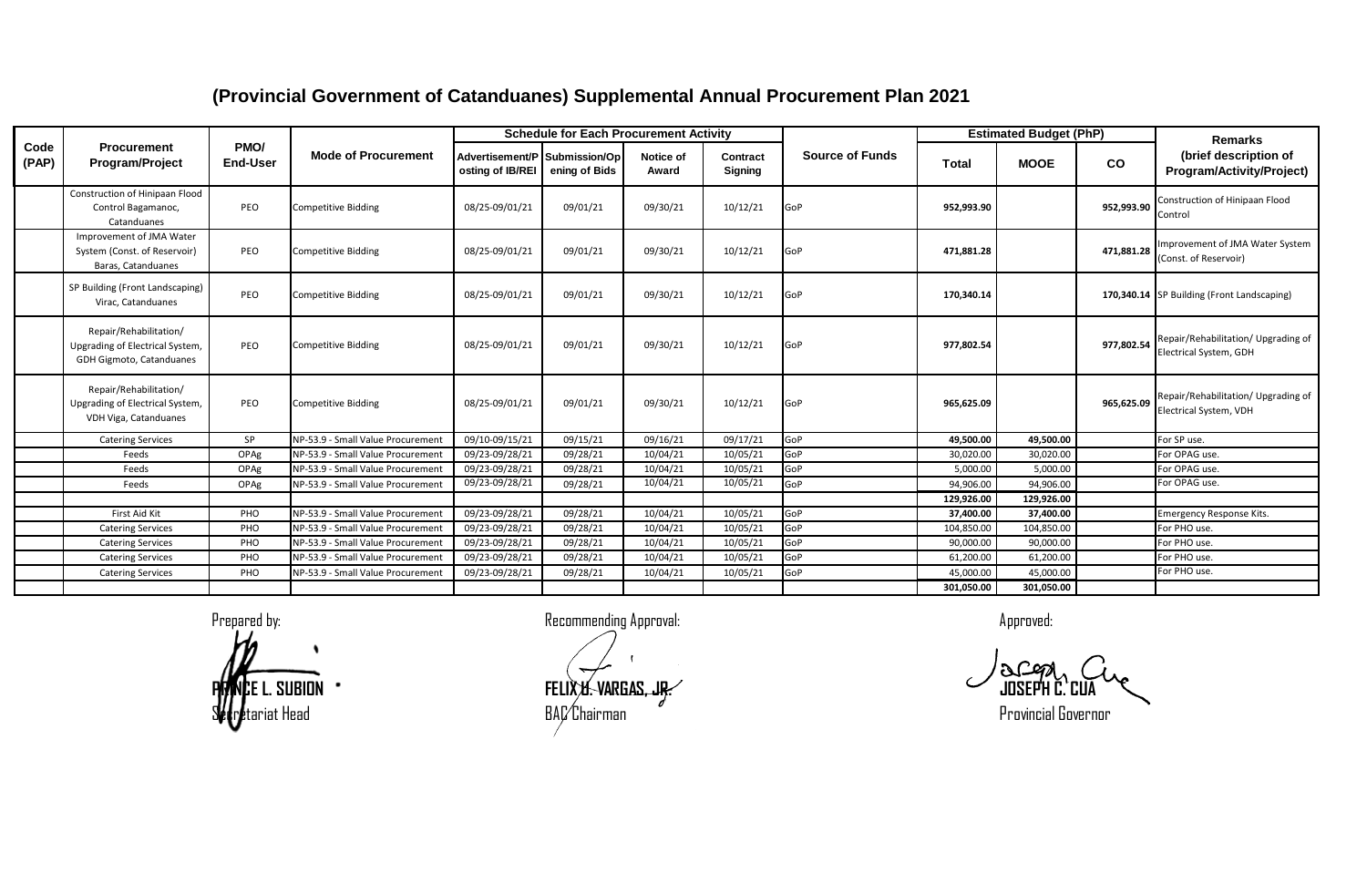|               |                                                                                       |                         |                                   |                                                   | <b>Schedule for Each Procurement Activity</b> |                    |                            |                        |            | <b>Estimated Budget (PhP)</b> |            | <b>Remarks</b>                                                |
|---------------|---------------------------------------------------------------------------------------|-------------------------|-----------------------------------|---------------------------------------------------|-----------------------------------------------|--------------------|----------------------------|------------------------|------------|-------------------------------|------------|---------------------------------------------------------------|
| Code<br>(PAP) | Procurement<br>Program/Project                                                        | PMO/<br><b>End-User</b> | <b>Mode of Procurement</b>        | Advertisement/P Submission/Op<br>osting of IB/REI | ening of Bids                                 | Notice of<br>Award | Contract<br><b>Signing</b> | <b>Source of Funds</b> | Total      | <b>MOOE</b>                   | co         | (brief description of<br>Program/Activity/Project)            |
|               | Construction of Hinipaan Flood<br>Control Bagamanoc,<br>Catanduanes                   | PEO                     | <b>Competitive Bidding</b>        | 08/25-09/01/21                                    | 09/01/21                                      | 09/30/21           | 10/12/21                   | GoP                    | 952,993.90 |                               | 952,993.90 | Construction of Hinipaan Flood<br>Control                     |
|               | Improvement of JMA Water<br>System (Const. of Reservoir)<br>Baras, Catanduanes        | PEO                     | <b>Competitive Bidding</b>        | 08/25-09/01/21                                    | 09/01/21                                      | 09/30/21           | 10/12/21                   | GoP                    | 471,881.28 |                               | 471,881.28 | Improvement of JMA Water System<br>(Const. of Reservoir)      |
|               | SP Building (Front Landscaping)<br>Virac, Catanduanes                                 | PEO                     | <b>Competitive Bidding</b>        | 08/25-09/01/21                                    | 09/01/21                                      | 09/30/21           | 10/12/21                   | GoP                    | 170,340.14 |                               |            | 170,340.14 SP Building (Front Landscaping)                    |
|               | Repair/Rehabilitation/<br>Upgrading of Electrical System,<br>GDH Gigmoto, Catanduanes | PEO                     | <b>Competitive Bidding</b>        | 08/25-09/01/21                                    | 09/01/21                                      | 09/30/21           | 10/12/21                   | GoP                    | 977,802.54 |                               | 977,802.54 | Repair/Rehabilitation/ Upgrading of<br>Electrical System, GDH |
|               | Repair/Rehabilitation/<br>Upgrading of Electrical System,<br>VDH Viga, Catanduanes    | PEO                     | <b>Competitive Bidding</b>        | 08/25-09/01/21                                    | 09/01/21                                      | 09/30/21           | 10/12/21                   | GoP                    | 965,625.09 |                               | 965,625.09 | Repair/Rehabilitation/ Upgrading of<br>Electrical System, VDH |
|               | <b>Catering Services</b>                                                              | <b>SP</b>               | NP-53.9 - Small Value Procurement | 09/10-09/15/21                                    | 09/15/21                                      | 09/16/21           | 09/17/21                   | GoP                    | 49,500.00  | 49,500.00                     |            | For SP use.                                                   |
|               | Feeds                                                                                 | OPAg                    | NP-53.9 - Small Value Procurement | 09/23-09/28/21                                    | 09/28/21                                      | 10/04/21           | 10/05/21                   | GoP                    | 30,020.00  | 30,020.00                     |            | For OPAG use.                                                 |
|               | Feeds                                                                                 | OPAg                    | NP-53.9 - Small Value Procurement | 09/23-09/28/21                                    | 09/28/21                                      | 10/04/21           | 10/05/21                   | GoP                    | 5,000.00   | 5,000.00                      |            | For OPAG use.                                                 |
|               | Feeds                                                                                 | OPAg                    | NP-53.9 - Small Value Procurement | 09/23-09/28/21                                    | 09/28/21                                      | 10/04/21           | 10/05/21                   | GoP                    | 94,906.00  | 94,906.00                     |            | For OPAG use.                                                 |
|               |                                                                                       |                         |                                   |                                                   |                                               |                    |                            |                        | 129,926.00 | 129,926.00                    |            |                                                               |
|               | First Aid Kit                                                                         | PHO                     | NP-53.9 - Small Value Procurement | 09/23-09/28/21                                    | 09/28/21                                      | 10/04/21           | 10/05/21                   | GoP                    | 37,400.00  | 37,400.00                     |            | <b>Emergency Response Kits.</b>                               |
|               | <b>Catering Services</b>                                                              | PHO                     | NP-53.9 - Small Value Procurement | 09/23-09/28/21                                    | 09/28/21                                      | 10/04/21           | 10/05/21                   | GoP                    | 104,850.00 | 104,850.00                    |            | For PHO use.                                                  |
|               | <b>Catering Services</b>                                                              | PHO                     | NP-53.9 - Small Value Procurement | 09/23-09/28/21                                    | 09/28/21                                      | 10/04/21           | 10/05/21                   | GoP                    | 90,000.00  | 90,000.00                     |            | For PHO use.                                                  |
|               | <b>Catering Services</b>                                                              | PHO                     | NP-53.9 - Small Value Procurement | 09/23-09/28/21                                    | 09/28/21                                      | 10/04/21           | 10/05/21                   | GoP                    | 61,200.00  | 61,200.00                     |            | For PHO use.                                                  |
|               | <b>Catering Services</b>                                                              | PHO                     | NP-53.9 - Small Value Procurement | 09/23-09/28/21                                    | 09/28/21                                      | 10/04/21           | 10/05/21                   | GoP                    | 45,000.00  | 45,000.00                     |            | For PHO use.                                                  |
|               |                                                                                       |                         |                                   |                                                   |                                               |                    |                            |                        | 301.050.00 | 301.050.00                    |            |                                                               |

Prepared by: example a state of the Recommending Approval:  $\blacksquare$ **PRINCE L. SUBION FELIX U. VARGAS, JR. JOSEPH C. CUA**  $\epsilon$ eriat Head experiment back of BAC Chairman  $\epsilon$  and  $\epsilon$  and  $\epsilon$  are provincial Governor  $\epsilon$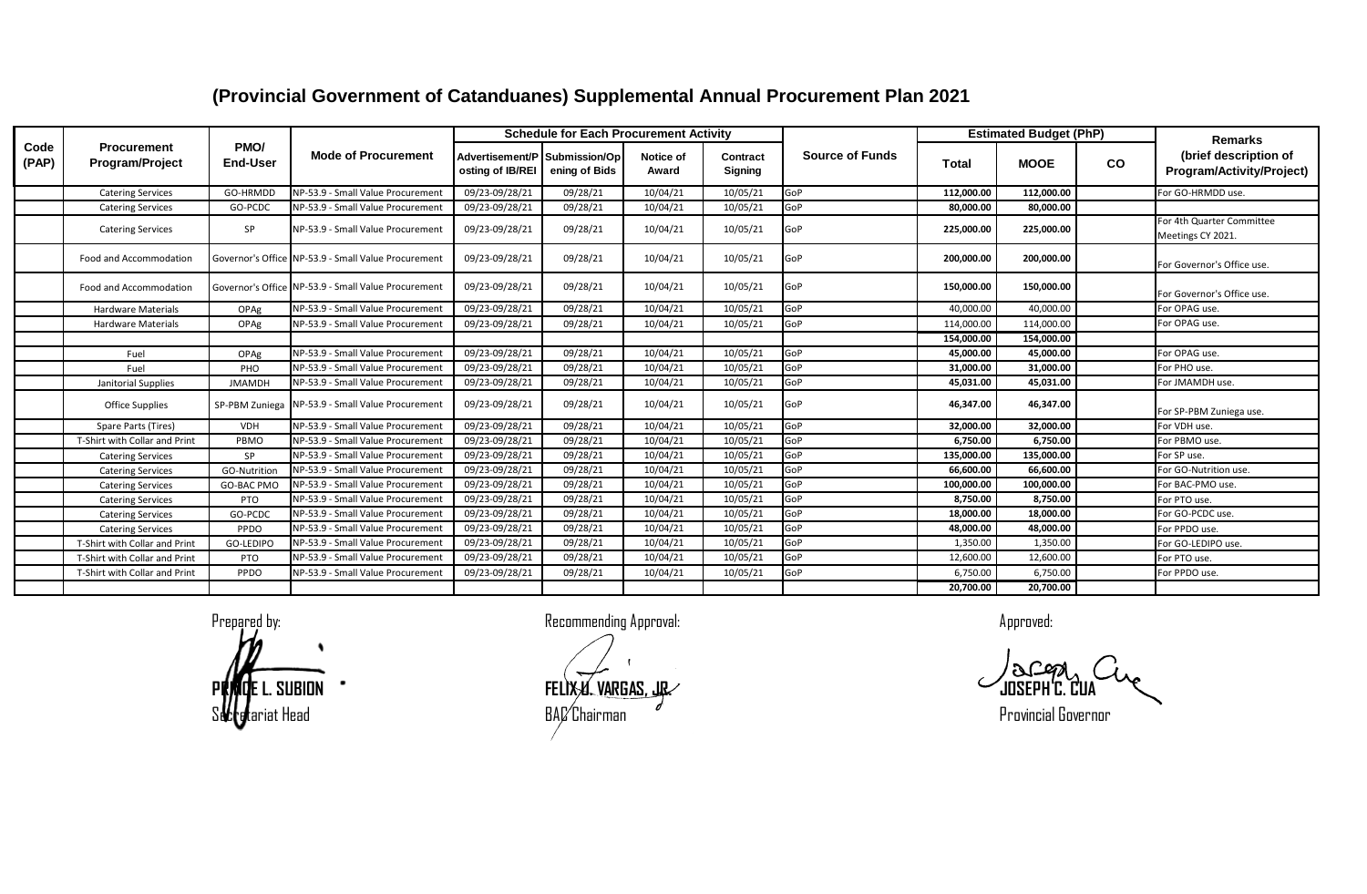|               |                                       |                         |                                                     |                  | <b>Schedule for Each Procurement Activity</b>  |                           |                            |                        |            | <b>Estimated Budget (PhP)</b> |           | <b>Remarks</b>                                     |
|---------------|---------------------------------------|-------------------------|-----------------------------------------------------|------------------|------------------------------------------------|---------------------------|----------------------------|------------------------|------------|-------------------------------|-----------|----------------------------------------------------|
| Code<br>(PAP) | <b>Procurement</b><br>Program/Project | PMO/<br><b>End-User</b> | <b>Mode of Procurement</b>                          | osting of IB/REI | Advertisement/P Submission/Op<br>ening of Bids | <b>Notice of</b><br>Award | Contract<br><b>Signing</b> | <b>Source of Funds</b> | Total      | <b>MOOE</b>                   | <b>CO</b> | (brief description of<br>Program/Activity/Project) |
|               | <b>Catering Services</b>              | GO-HRMDD                | NP-53.9 - Small Value Procurement                   | 09/23-09/28/21   | 09/28/21                                       | 10/04/21                  | 10/05/21                   | GoP                    | 112,000.00 | 112,000.00                    |           | For GO-HRMDD use.                                  |
|               | <b>Catering Services</b>              | GO-PCDC                 | NP-53.9 - Small Value Procurement                   | 09/23-09/28/21   | 09/28/21                                       | 10/04/21                  | 10/05/21                   | GoP                    | 80,000.00  | 80,000.00                     |           |                                                    |
|               | <b>Catering Services</b>              | SP                      | NP-53.9 - Small Value Procurement                   | 09/23-09/28/21   | 09/28/21                                       | 10/04/21                  | 10/05/21                   | GoP                    | 225,000.00 | 225,000.00                    |           | For 4th Quarter Committee<br>Meetings CY 2021.     |
|               | Food and Accommodation                |                         | Governor's Office NP-53.9 - Small Value Procurement | 09/23-09/28/21   | 09/28/21                                       | 10/04/21                  | 10/05/21                   | GoP                    | 200,000.00 | 200,000.00                    |           | For Governor's Office use.                         |
|               | Food and Accommodation                |                         | Governor's Office NP-53.9 - Small Value Procurement | 09/23-09/28/21   | 09/28/21                                       | 10/04/21                  | 10/05/21                   | GoP                    | 150,000.00 | 150,000.00                    |           | For Governor's Office use.                         |
|               | <b>Hardware Materials</b>             | OPAg                    | NP-53.9 - Small Value Procurement                   | 09/23-09/28/21   | 09/28/21                                       | 10/04/21                  | 10/05/21                   | GoP                    | 40.000.00  | 40,000.00                     |           | For OPAG use.                                      |
|               | <b>Hardware Materials</b>             | OPAg                    | NP-53.9 - Small Value Procurement                   | 09/23-09/28/21   | 09/28/21                                       | 10/04/21                  | 10/05/21                   | GoP                    | 114,000.00 | 114,000.00                    |           | For OPAG use.                                      |
|               |                                       |                         |                                                     |                  |                                                |                           |                            |                        | 154,000.00 | 154,000.00                    |           |                                                    |
|               | Fuel                                  | OPAg                    | NP-53.9 - Small Value Procurement                   | 09/23-09/28/21   | 09/28/21                                       | 10/04/21                  | 10/05/21                   | GoP                    | 45,000.00  | 45,000.00                     |           | For OPAG use.                                      |
|               | Fuel                                  | PHO                     | NP-53.9 - Small Value Procurement                   | 09/23-09/28/21   | 09/28/21                                       | 10/04/21                  | 10/05/21                   | GoP                    | 31,000.00  | 31,000.00                     |           | For PHO use.                                       |
|               | Janitorial Supplies                   | <b>JMAMDH</b>           | NP-53.9 - Small Value Procurement                   | 09/23-09/28/21   | 09/28/21                                       | 10/04/21                  | 10/05/21                   | GoP                    | 45.031.00  | 45.031.00                     |           | For JMAMDH use.                                    |
|               | <b>Office Supplies</b>                |                         | SP-PBM Zuniega NP-53.9 - Small Value Procurement    | 09/23-09/28/21   | 09/28/21                                       | 10/04/21                  | 10/05/21                   | GoP                    | 46,347.00  | 46,347.00                     |           | For SP-PBM Zuniega use.                            |
|               | Spare Parts (Tires)                   | <b>VDH</b>              | NP-53.9 - Small Value Procurement                   | 09/23-09/28/21   | 09/28/21                                       | 10/04/21                  | 10/05/21                   | GoP                    | 32,000.00  | 32,000.00                     |           | For VDH use.                                       |
|               | T-Shirt with Collar and Print         | PBMO                    | NP-53.9 - Small Value Procurement                   | 09/23-09/28/21   | 09/28/21                                       | 10/04/21                  | 10/05/21                   | GoP                    | 6.750.00   | 6.750.00                      |           | For PBMO use.                                      |
|               | <b>Catering Services</b>              | SP                      | NP-53.9 - Small Value Procurement                   | 09/23-09/28/21   | 09/28/21                                       | 10/04/21                  | 10/05/21                   | GoP                    | 135,000.00 | 135,000.00                    |           | For SP use.                                        |
|               | <b>Catering Services</b>              | GO-Nutrition            | NP-53.9 - Small Value Procurement                   | 09/23-09/28/21   | 09/28/21                                       | 10/04/21                  | 10/05/21                   | GoP                    | 66,600.00  | 66.600.00                     |           | For GO-Nutrition use.                              |
|               | <b>Catering Services</b>              | GO-BAC PMO              | NP-53.9 - Small Value Procurement                   | 09/23-09/28/21   | 09/28/21                                       | 10/04/21                  | 10/05/21                   | GoP                    | 100,000.00 | 100,000.00                    |           | For BAC-PMO use.                                   |
|               | <b>Catering Services</b>              | PTO                     | NP-53.9 - Small Value Procurement                   | 09/23-09/28/21   | 09/28/21                                       | 10/04/21                  | 10/05/21                   | GoP                    | 8,750.00   | 8,750.00                      |           | For PTO use.                                       |
|               | <b>Catering Services</b>              | GO-PCDC                 | NP-53.9 - Small Value Procurement                   | 09/23-09/28/21   | 09/28/21                                       | 10/04/21                  | 10/05/21                   | GoP                    | 18,000.00  | 18,000.00                     |           | For GO-PCDC use.                                   |
|               | <b>Catering Services</b>              | PPDO                    | NP-53.9 - Small Value Procurement                   | 09/23-09/28/21   | 09/28/21                                       | 10/04/21                  | 10/05/21                   | GoP                    | 48,000.00  | 48,000.00                     |           | For PPDO use.                                      |
|               | T-Shirt with Collar and Print         | GO-LEDIPO               | NP-53.9 - Small Value Procurement                   | 09/23-09/28/21   | 09/28/21                                       | 10/04/21                  | 10/05/21                   | GoP                    | 1,350.00   | 1,350.00                      |           | For GO-LEDIPO use.                                 |
|               | T-Shirt with Collar and Print         | PTO                     | NP-53.9 - Small Value Procurement                   | 09/23-09/28/21   | 09/28/21                                       | 10/04/21                  | 10/05/21                   | GoP                    | 12,600.00  | 12,600.00                     |           | For PTO use.                                       |
|               | T-Shirt with Collar and Print         | PPDO                    | NP-53.9 - Small Value Procurement                   | 09/23-09/28/21   | 09/28/21                                       | 10/04/21                  | 10/05/21                   | GoP                    | 6,750.00   | 6,750.00                      |           | For PPDO use.                                      |
|               |                                       |                         |                                                     |                  |                                                |                           |                            |                        | 20,700.00  | 20,700.00                     |           |                                                    |

Prepared by: a controlled the commending Approval: Approved: a controlled the controlled the controlled: Approved:

**PRINCE L. SUBION FELIX U. VARGAS, JR. JOSEPH C. CUA**  $\mathsf{BAL}'$ Chairman  $\mathscr I$  expansion  $\mathsf P$ rovincial Governor  $\mathsf P$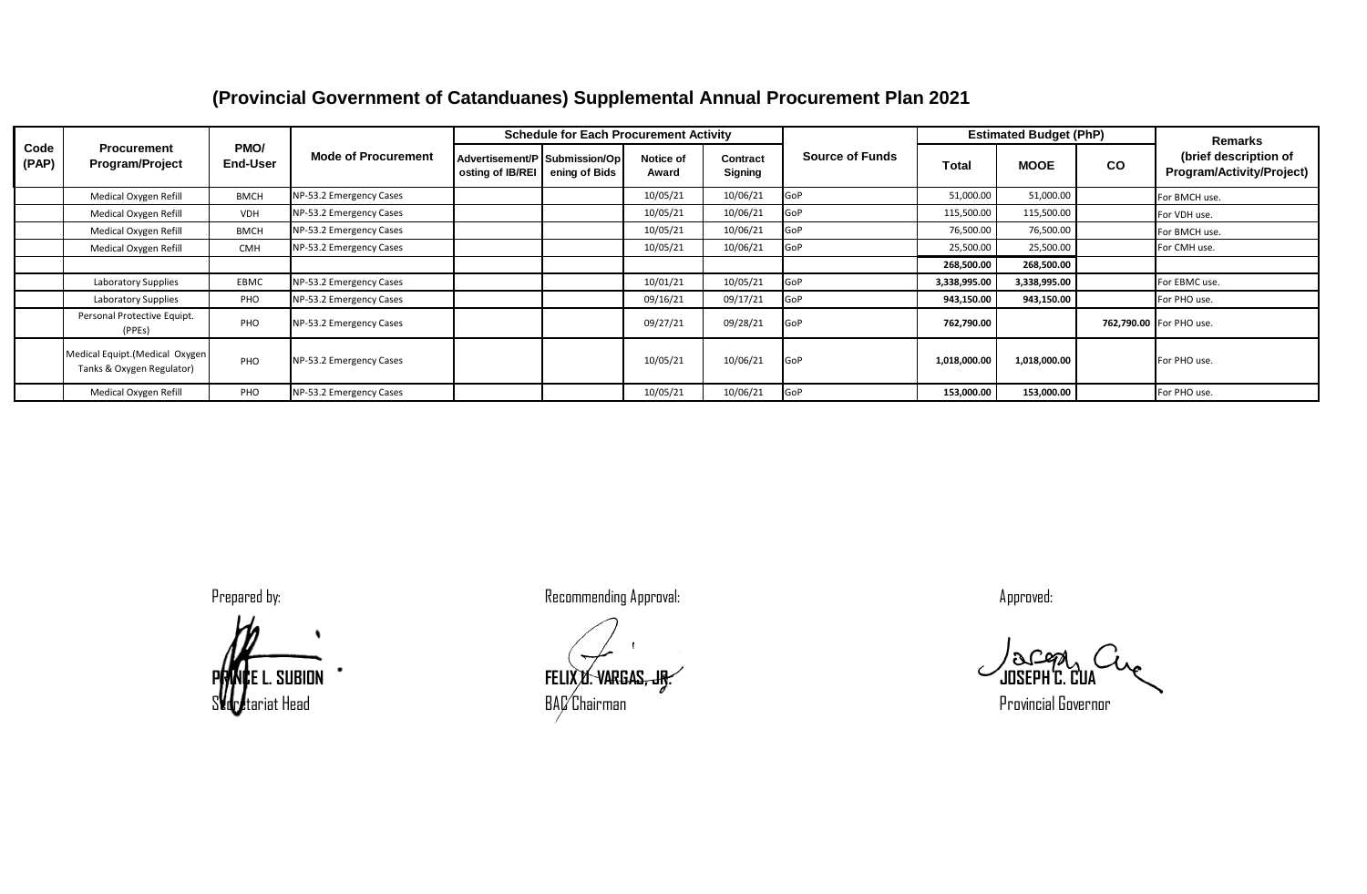|               |                                                              |                  |                            |                  | <b>Schedule for Each Procurement Activity</b>  |                    |                     |                        |              | <b>Estimated Budget (PhP)</b> |    | <b>Remarks</b>                                     |
|---------------|--------------------------------------------------------------|------------------|----------------------------|------------------|------------------------------------------------|--------------------|---------------------|------------------------|--------------|-------------------------------|----|----------------------------------------------------|
| Code<br>(PAP) | <b>Procurement</b><br><b>Program/Project</b>                 | PMO/<br>End-User | <b>Mode of Procurement</b> | osting of IB/REI | Advertisement/P Submission/Op<br>ening of Bids | Notice of<br>Award | Contract<br>Signing | <b>Source of Funds</b> | Total        | <b>MOOE</b>                   | co | (brief description of<br>Program/Activity/Project) |
|               | Medical Oxygen Refill                                        | <b>BMCH</b>      | NP-53.2 Emergency Cases    |                  |                                                | 10/05/21           | 10/06/21            | GoP                    | 51,000.00    | 51,000.00                     |    | For BMCH use.                                      |
|               | Medical Oxygen Refill                                        | <b>VDH</b>       | NP-53.2 Emergency Cases    |                  |                                                | 10/05/21           | 10/06/21            | GoP                    | 115,500.00   | 115,500.00                    |    | For VDH use.                                       |
|               | Medical Oxygen Refill                                        | <b>BMCH</b>      | NP-53.2 Emergency Cases    |                  |                                                | 10/05/21           | 10/06/21            | GoP                    | 76,500.00    | 76,500.00                     |    | For BMCH use.                                      |
|               | Medical Oxygen Refill                                        | <b>CMH</b>       | NP-53.2 Emergency Cases    |                  |                                                | 10/05/21           | 10/06/21            | GoP                    | 25,500.00    | 25,500.00                     |    | For CMH use.                                       |
|               |                                                              |                  |                            |                  |                                                |                    |                     |                        | 268,500.00   | 268,500.00                    |    |                                                    |
|               | Laboratory Supplies                                          | EBMC             | NP-53.2 Emergency Cases    |                  |                                                | 10/01/21           | 10/05/21            | GoP                    | 3,338,995.00 | 3,338,995.00                  |    | For EBMC use.                                      |
|               | Laboratory Supplies                                          | PHO              | NP-53.2 Emergency Cases    |                  |                                                | 09/16/21           | 09/17/21            | GoP                    | 943,150.00   | 943,150.00                    |    | For PHO use.                                       |
|               | Personal Protective Equipt.<br>(PPEs)                        | PHO              | NP-53.2 Emergency Cases    |                  |                                                | 09/27/21           | 09/28/21            | <b>GoP</b>             | 762,790.00   |                               |    | 762,790.00 For PHO use.                            |
|               | Medical Equipt. (Medical Oxygen<br>Tanks & Oxygen Regulator) | PHO              | NP-53.2 Emergency Cases    |                  |                                                | 10/05/21           | 10/06/21            | GoP                    | 1,018,000.00 | 1,018,000.00                  |    | For PHO use.                                       |
|               | Medical Oxygen Refill                                        | PHO              | NP-53.2 Emergency Cases    |                  |                                                | 10/05/21           | 10/06/21            | GoP                    | 153,000.00   | 153,000.00                    |    | For PHO use.                                       |



**PRINCE L. SUBION FELIX U. VARGAS, JR. JOSEPH C. CUA**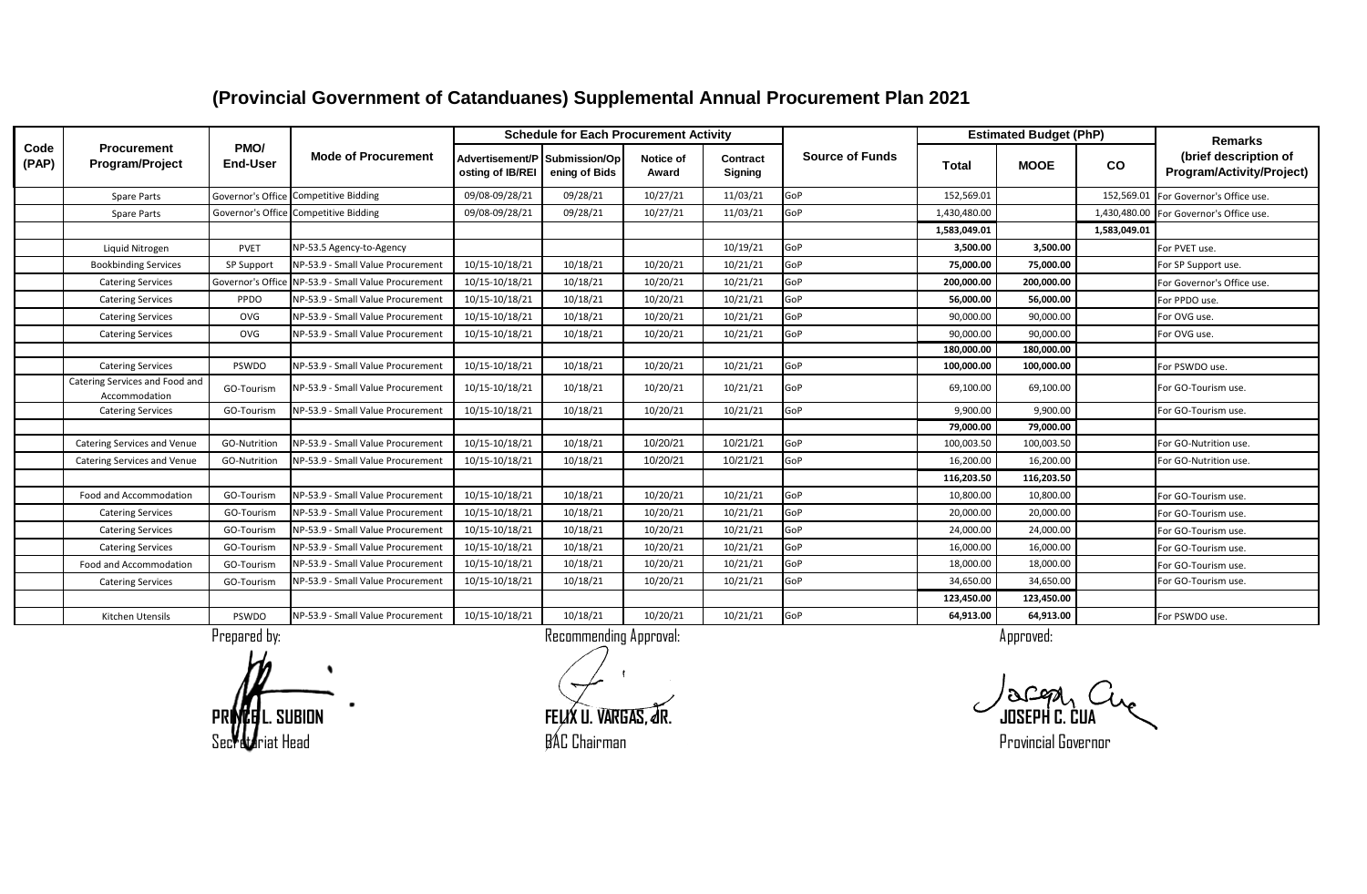|               |                                                 |                         |                                       |                                                   | <b>Schedule for Each Procurement Activity</b> |                    |                     |                        |              | <b>Estimated Budget (PhP)</b> |              | <b>Remarks</b>                                     |
|---------------|-------------------------------------------------|-------------------------|---------------------------------------|---------------------------------------------------|-----------------------------------------------|--------------------|---------------------|------------------------|--------------|-------------------------------|--------------|----------------------------------------------------|
| Code<br>(PAP) | Procurement<br><b>Program/Project</b>           | PMO/<br><b>End-User</b> | <b>Mode of Procurement</b>            | Advertisement/P Submission/Op<br>osting of IB/REI | ening of Bids                                 | Notice of<br>Award | Contract<br>Signing | <b>Source of Funds</b> | Total        | <b>MOOE</b>                   | <b>CO</b>    | (brief description of<br>Program/Activity/Project) |
|               | <b>Spare Parts</b>                              |                         | Governor's Office Competitive Bidding | 09/08-09/28/21                                    | 09/28/21                                      | 10/27/21           | 11/03/21            | GoP                    | 152,569.01   |                               | 152,569.01   | For Governor's Office use.                         |
|               | <b>Spare Parts</b>                              | Governor's Offic        | <b>Competitive Bidding</b>            | 09/08-09/28/21                                    | 09/28/21                                      | 10/27/21           | 11/03/21            | GoP                    | 1,430,480.00 |                               | 1,430,480.00 | For Governor's Office use.                         |
|               |                                                 |                         |                                       |                                                   |                                               |                    |                     |                        | 1,583,049.01 |                               | 1.583.049.01 |                                                    |
|               | Liquid Nitrogen                                 | PVET                    | NP-53.5 Agency-to-Agency              |                                                   |                                               |                    | 10/19/21            | GoP                    | 3.500.00     | 3.500.00                      |              | For PVET use.                                      |
|               | <b>Bookbinding Services</b>                     | SP Support              | NP-53.9 - Small Value Procurement     | 10/15-10/18/21                                    | 10/18/21                                      | 10/20/21           | 10/21/21            | GoP                    | 75,000.00    | 75,000.00                     |              | For SP Support use.                                |
|               | <b>Catering Services</b>                        | Governor's Office       | NP-53.9 - Small Value Procurement     | 10/15-10/18/21                                    | 10/18/21                                      | 10/20/21           | 10/21/21            | GoP                    | 200.000.00   | 200,000.00                    |              | For Governor's Office use.                         |
|               | <b>Catering Services</b>                        | PPDO                    | NP-53.9 - Small Value Procurement     | 10/15-10/18/21                                    | 10/18/21                                      | 10/20/21           | 10/21/21            | GoP                    | 56,000.00    | 56,000.00                     |              | For PPDO use.                                      |
|               | <b>Catering Services</b>                        | OVG                     | NP-53.9 - Small Value Procurement     | 10/15-10/18/21                                    | 10/18/21                                      | 10/20/21           | 10/21/21            | GoP                    | 90,000.00    | 90,000.00                     |              | For OVG use.                                       |
|               | <b>Catering Services</b>                        | OVG                     | NP-53.9 - Small Value Procurement     | 10/15-10/18/21                                    | 10/18/21                                      | 10/20/21           | 10/21/21            | GoP                    | 90,000.00    | 90,000.00                     |              | For OVG use.                                       |
|               |                                                 |                         |                                       |                                                   |                                               |                    |                     |                        | 180.000.00   | 180,000.00                    |              |                                                    |
|               | <b>Catering Services</b>                        | PSWDO                   | NP-53.9 - Small Value Procurement     | 10/15-10/18/21                                    | 10/18/21                                      | 10/20/21           | 10/21/21            | GoP                    | 100,000.00   | 100,000.00                    |              | For PSWDO use.                                     |
|               | Catering Services and Food and<br>Accommodation | GO-Tourism              | NP-53.9 - Small Value Procurement     | 10/15-10/18/21                                    | 10/18/21                                      | 10/20/21           | 10/21/21            | GoP                    | 69,100.00    | 69,100.00                     |              | For GO-Tourism use.                                |
|               | <b>Catering Services</b>                        | GO-Tourism              | NP-53.9 - Small Value Procurement     | 10/15-10/18/21                                    | 10/18/21                                      | 10/20/21           | 10/21/21            | GoP                    | 9,900.00     | 9,900.00                      |              | For GO-Tourism use.                                |
|               |                                                 |                         |                                       |                                                   |                                               |                    |                     |                        | 79,000.00    | 79,000.00                     |              |                                                    |
|               | Catering Services and Venue                     | GO-Nutrition            | NP-53.9 - Small Value Procurement     | 10/15-10/18/21                                    | 10/18/21                                      | 10/20/21           | 10/21/21            | GoP                    | 100,003.50   | 100,003.50                    |              | For GO-Nutrition use.                              |
|               | Catering Services and Venue                     | GO-Nutrition            | NP-53.9 - Small Value Procurement     | 10/15-10/18/21                                    | 10/18/21                                      | 10/20/21           | 10/21/21            | GoP                    | 16,200.00    | 16,200.00                     |              | For GO-Nutrition use.                              |
|               |                                                 |                         |                                       |                                                   |                                               |                    |                     |                        | 116,203.50   | 116,203.50                    |              |                                                    |
|               | Food and Accommodation                          | GO-Tourism              | NP-53.9 - Small Value Procurement     | 10/15-10/18/21                                    | 10/18/21                                      | 10/20/21           | 10/21/21            | GoP                    | 10,800.00    | 10,800.00                     |              | For GO-Tourism use                                 |
|               | <b>Catering Services</b>                        | GO-Tourism              | NP-53.9 - Small Value Procurement     | 10/15-10/18/21                                    | 10/18/21                                      | 10/20/21           | 10/21/21            | GoP                    | 20.000.00    | 20.000.00                     |              | For GO-Tourism use.                                |
|               | <b>Catering Services</b>                        | GO-Tourism              | NP-53.9 - Small Value Procurement     | 10/15-10/18/21                                    | 10/18/21                                      | 10/20/21           | 10/21/21            | GoP                    | 24,000.00    | 24,000.00                     |              | For GO-Tourism use.                                |
|               | <b>Catering Services</b>                        | GO-Tourism              | NP-53.9 - Small Value Procurement     | 10/15-10/18/21                                    | 10/18/21                                      | 10/20/21           | 10/21/21            | GoP                    | 16,000.00    | 16,000.00                     |              | For GO-Tourism use.                                |
|               | Food and Accommodation                          | GO-Tourism              | NP-53.9 - Small Value Procurement     | 10/15-10/18/21                                    | 10/18/21                                      | 10/20/21           | 10/21/21            | GoP                    | 18,000.00    | 18,000.00                     |              | For GO-Tourism use.                                |
|               | <b>Catering Services</b>                        | GO-Tourism              | NP-53.9 - Small Value Procurement     | 10/15-10/18/21                                    | 10/18/21                                      | 10/20/21           | 10/21/21            | GoP                    | 34,650.00    | 34,650.00                     |              | For GO-Tourism use.                                |
|               |                                                 |                         |                                       |                                                   |                                               |                    |                     |                        | 123.450.00   | 123,450.00                    |              |                                                    |
|               | Kitchen Utensils                                | PSWDO                   | NP-53.9 - Small Value Procurement     | 10/15-10/18/21                                    | 10/18/21                                      | 10/20/21           | 10/21/21            | GoP                    | 64,913.00    | 64,913.00                     |              | For PSWDO use.                                     |

Prepared by: Approved: Recommending Approval: Recommending Approval: Approved: Approved:

**PRINCE L. SUBION FELIX U. VARGAS, JR. JOSEPH C. CUA** Secretariat Head **BAC Chairman** BAC Chairman BAC Chairman Bayer of the Secretarian Provincial Governor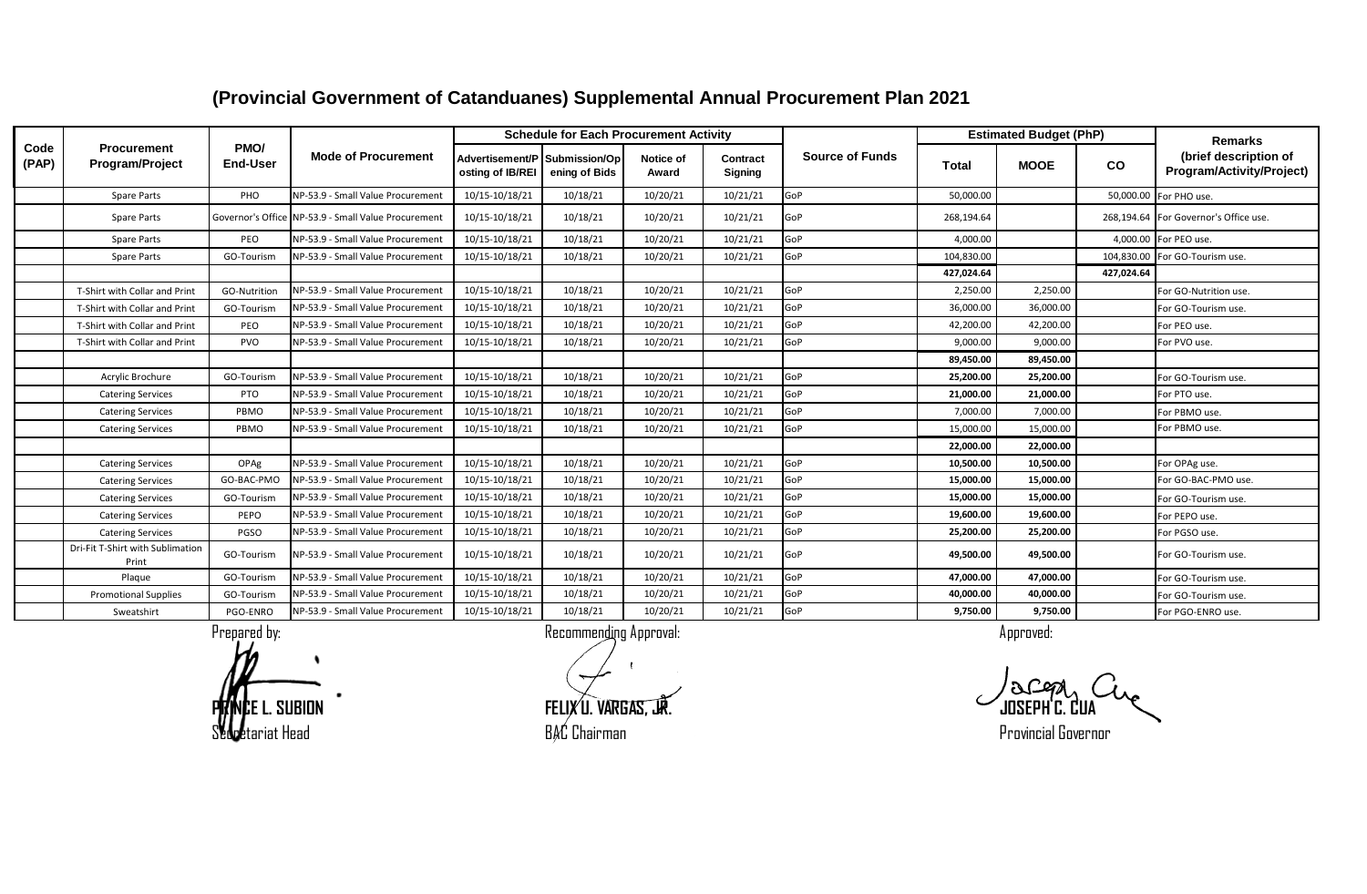|               |                                           |                         |                                                     |                                                   | <b>Schedule for Each Procurement Activity</b> |                    |                     |                        |              | <b>Estimated Budget (PhP)</b> |            | <b>Remarks</b>                                     |
|---------------|-------------------------------------------|-------------------------|-----------------------------------------------------|---------------------------------------------------|-----------------------------------------------|--------------------|---------------------|------------------------|--------------|-------------------------------|------------|----------------------------------------------------|
| Code<br>(PAP) | <b>Procurement</b><br>Program/Project     | PMO/<br><b>End-User</b> | <b>Mode of Procurement</b>                          | Advertisement/P Submission/Op<br>osting of IB/REI | ening of Bids                                 | Notice of<br>Award | Contract<br>Signing | <b>Source of Funds</b> | <b>Total</b> | <b>MOOE</b>                   | <b>CO</b>  | (brief description of<br>Program/Activity/Project) |
|               | Spare Parts                               | PHO                     | NP-53.9 - Small Value Procurement                   | 10/15-10/18/21                                    | 10/18/21                                      | 10/20/21           | 10/21/21            | GoP                    | 50,000.00    |                               | 50,000.00  | For PHO use.                                       |
|               | <b>Spare Parts</b>                        |                         | Governor's Office NP-53.9 - Small Value Procurement | 10/15-10/18/21                                    | 10/18/21                                      | 10/20/21           | 10/21/21            | GoP                    | 268,194.64   |                               |            | 268,194.64 For Governor's Office use.              |
|               | Spare Parts                               | PEO                     | NP-53.9 - Small Value Procurement                   | 10/15-10/18/21                                    | 10/18/21                                      | 10/20/21           | 10/21/21            | GoP                    | 4,000.00     |                               | 4,000.00   | For PEO use.                                       |
|               | <b>Spare Parts</b>                        | GO-Tourism              | NP-53.9 - Small Value Procurement                   | 10/15-10/18/21                                    | 10/18/21                                      | 10/20/21           | 10/21/21            | GoP                    | 104,830.00   |                               | 104,830.00 | For GO-Tourism use.                                |
|               |                                           |                         |                                                     |                                                   |                                               |                    |                     |                        | 427,024.64   |                               | 427,024.64 |                                                    |
|               | T-Shirt with Collar and Print             | GO-Nutrition            | NP-53.9 - Small Value Procurement                   | 10/15-10/18/21                                    | 10/18/21                                      | 10/20/21           | 10/21/21            | GoP                    | 2,250.00     | 2,250.00                      |            | For GO-Nutrition use.                              |
|               | T-Shirt with Collar and Print             | GO-Tourism              | NP-53.9 - Small Value Procurement                   | 10/15-10/18/21                                    | 10/18/21                                      | 10/20/21           | 10/21/21            | GoP                    | 36,000.00    | 36,000.00                     |            | For GO-Tourism use.                                |
|               | T-Shirt with Collar and Print             | PEO                     | NP-53.9 - Small Value Procurement                   | 10/15-10/18/21                                    | 10/18/21                                      | 10/20/21           | 10/21/21            | GoP                    | 42,200.00    | 42,200.00                     |            | For PEO use.                                       |
|               | T-Shirt with Collar and Print             | PVO                     | NP-53.9 - Small Value Procurement                   | 10/15-10/18/21                                    | 10/18/21                                      | 10/20/21           | 10/21/21            | GoP                    | 9,000.00     | 9,000.00                      |            | For PVO use.                                       |
|               |                                           |                         |                                                     |                                                   |                                               |                    |                     |                        | 89,450.00    | 89,450.00                     |            |                                                    |
|               | Acrylic Brochure                          | GO-Tourism              | NP-53.9 - Small Value Procurement                   | 10/15-10/18/21                                    | 10/18/21                                      | 10/20/21           | 10/21/21            | GoP                    | 25,200.00    | 25,200.00                     |            | For GO-Tourism use.                                |
|               | <b>Catering Services</b>                  | <b>PTO</b>              | NP-53.9 - Small Value Procurement                   | 10/15-10/18/21                                    | 10/18/21                                      | 10/20/21           | 10/21/21            | GoP                    | 21,000.00    | 21,000.00                     |            | For PTO use.                                       |
|               | <b>Catering Services</b>                  | PBMO                    | NP-53.9 - Small Value Procurement                   | 10/15-10/18/21                                    | 10/18/21                                      | 10/20/21           | 10/21/21            | GoP                    | 7.000.00     | 7,000.00                      |            | For PBMO use.                                      |
|               | <b>Catering Services</b>                  | PBMO                    | NP-53.9 - Small Value Procurement                   | 10/15-10/18/21                                    | 10/18/21                                      | 10/20/21           | 10/21/21            | GoP                    | 15,000.00    | 15,000.00                     |            | For PBMO use.                                      |
|               |                                           |                         |                                                     |                                                   |                                               |                    |                     |                        | 22,000.00    | 22,000.00                     |            |                                                    |
|               | <b>Catering Services</b>                  | OPAg                    | NP-53.9 - Small Value Procurement                   | 10/15-10/18/21                                    | 10/18/21                                      | 10/20/21           | 10/21/21            | GoP                    | 10,500.00    | 10,500.00                     |            | For OPAg use.                                      |
|               | <b>Catering Services</b>                  | GO-BAC-PMO              | NP-53.9 - Small Value Procurement                   | 10/15-10/18/21                                    | 10/18/21                                      | 10/20/21           | 10/21/21            | GoP                    | 15,000.00    | 15,000.00                     |            | For GO-BAC-PMO use.                                |
|               | <b>Catering Services</b>                  | GO-Tourism              | NP-53.9 - Small Value Procurement                   | 10/15-10/18/21                                    | 10/18/21                                      | 10/20/21           | 10/21/21            | GoP                    | 15,000.00    | 15,000.00                     |            | For GO-Tourism use.                                |
|               | <b>Catering Services</b>                  | PEPO                    | NP-53.9 - Small Value Procurement                   | 10/15-10/18/21                                    | 10/18/21                                      | 10/20/21           | 10/21/21            | GoP                    | 19,600.00    | 19,600.00                     |            | For PEPO use.                                      |
|               | <b>Catering Services</b>                  | PGSO                    | NP-53.9 - Small Value Procurement                   | 10/15-10/18/21                                    | 10/18/21                                      | 10/20/21           | 10/21/21            | GoP                    | 25.200.00    | 25,200.00                     |            | For PGSO use.                                      |
|               | Dri-Fit T-Shirt with Sublimation<br>Print | GO-Tourism              | NP-53.9 - Small Value Procurement                   | 10/15-10/18/21                                    | 10/18/21                                      | 10/20/21           | 10/21/21            | GoP                    | 49,500.00    | 49,500.00                     |            | For GO-Tourism use.                                |
|               | Plaque                                    | GO-Tourism              | NP-53.9 - Small Value Procurement                   | 10/15-10/18/21                                    | 10/18/21                                      | 10/20/21           | 10/21/21            | GoP                    | 47,000.00    | 47,000.00                     |            | For GO-Tourism use.                                |
|               | <b>Promotional Supplies</b>               | GO-Tourism              | NP-53.9 - Small Value Procurement                   | 10/15-10/18/21                                    | 10/18/21                                      | 10/20/21           | 10/21/21            | GoP                    | 40,000.00    | 40,000.00                     |            | For GO-Tourism use.                                |
|               | Sweatshirt                                | PGO-ENRO                | NP-53.9 - Small Value Procurement                   | 10/15-10/18/21                                    | 10/18/21                                      | 10/20/21           | 10/21/21            | GoP                    | 9,750.00     | 9,750.00                      |            | For PGO-ENRO use.                                  |

Prepared by: a commending Approval: Recommending Approval: Approved: Approved: Approved:

**PRINCE L. SUBION FELIX U. VARGAS, JR. JOSEPH C. CUA** Secretariat Head **BAC Chairman** BAC Chairman BAC Chairman BAC Chairman BAC Extensive Provincial Governor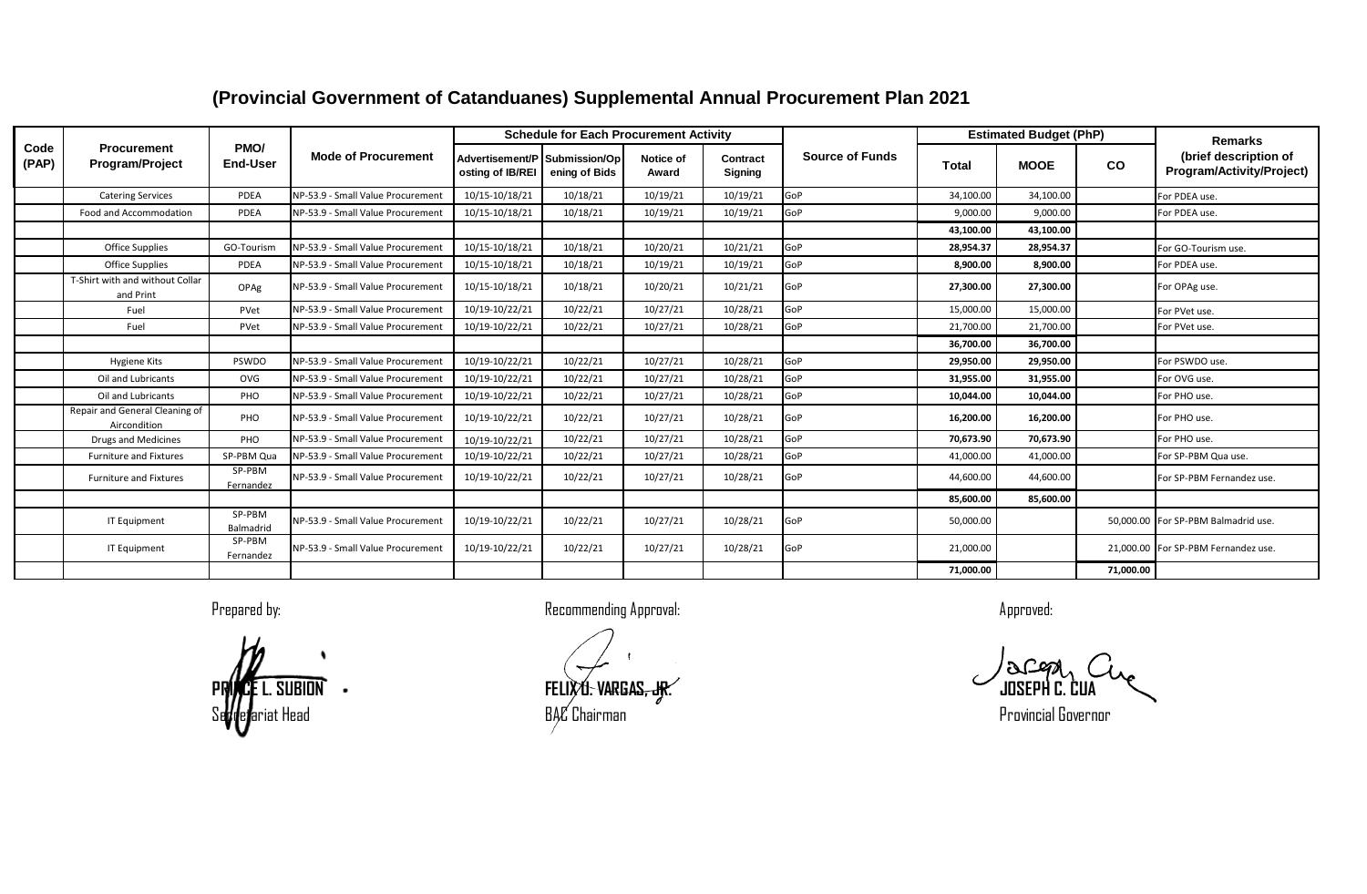| Code<br>(PAP) | <b>Procurement</b><br><b>Program/Project</b>   | PMO/<br><b>End-User</b> | <b>Mode of Procurement</b>        | <b>Schedule for Each Procurement Activity</b>     |               |                    |                            |                        | <b>Estimated Budget (PhP)</b> |             |           | <b>Remarks</b>                                     |
|---------------|------------------------------------------------|-------------------------|-----------------------------------|---------------------------------------------------|---------------|--------------------|----------------------------|------------------------|-------------------------------|-------------|-----------|----------------------------------------------------|
|               |                                                |                         |                                   | Advertisement/P Submission/Op<br>osting of IB/REI | ening of Bids | Notice of<br>Award | Contract<br><b>Signing</b> | <b>Source of Funds</b> | Total                         | <b>MOOE</b> | CO        | (brief description of<br>Program/Activity/Project) |
|               | <b>Catering Services</b>                       | PDEA                    | NP-53.9 - Small Value Procurement | 10/15-10/18/21                                    | 10/18/21      | 10/19/21           | 10/19/21                   | GoP                    | 34,100.00                     | 34,100.00   |           | For PDEA use.                                      |
|               | Food and Accommodation                         | PDEA                    | NP-53.9 - Small Value Procurement | 10/15-10/18/21                                    | 10/18/21      | 10/19/21           | 10/19/21                   | GoP                    | 9.000.00                      | 9,000.00    |           | For PDEA use.                                      |
|               |                                                |                         |                                   |                                                   |               |                    |                            |                        | 43.100.00                     | 43.100.00   |           |                                                    |
|               | <b>Office Supplies</b>                         | GO-Tourism              | NP-53.9 - Small Value Procurement | 10/15-10/18/21                                    | 10/18/21      | 10/20/21           | 10/21/21                   | GoP                    | 28,954.37                     | 28,954.37   |           | For GO-Tourism use.                                |
|               | <b>Office Supplies</b>                         | PDEA                    | NP-53.9 - Small Value Procurement | 10/15-10/18/21                                    | 10/18/21      | 10/19/21           | 10/19/21                   | GoP                    | 8,900.00                      | 8,900.00    |           | For PDEA use.                                      |
|               | T-Shirt with and without Collar<br>and Print   | OPAg                    | NP-53.9 - Small Value Procurement | 10/15-10/18/21                                    | 10/18/21      | 10/20/21           | 10/21/21                   | GoP                    | 27,300.00                     | 27,300.00   |           | For OPAg use.                                      |
|               | Fuel                                           | PVet                    | NP-53.9 - Small Value Procurement | 10/19-10/22/21                                    | 10/22/21      | 10/27/21           | 10/28/21                   | GoP                    | 15,000.00                     | 15,000.00   |           | For PVet use.                                      |
|               | Fuel                                           | PVet                    | NP-53.9 - Small Value Procurement | 10/19-10/22/21                                    | 10/22/21      | 10/27/21           | 10/28/21                   | GoP                    | 21,700.00                     | 21,700.00   |           | For PVet use.                                      |
|               |                                                |                         |                                   |                                                   |               |                    |                            |                        | 36,700.00                     | 36,700.00   |           |                                                    |
|               | Hygiene Kits                                   | PSWDO                   | NP-53.9 - Small Value Procurement | 10/19-10/22/21                                    | 10/22/21      | 10/27/21           | 10/28/21                   | GoP                    | 29,950.00                     | 29,950.00   |           | For PSWDO use.                                     |
|               | Oil and Lubricants                             | OVG                     | NP-53.9 - Small Value Procurement | 10/19-10/22/21                                    | 10/22/21      | 10/27/21           | 10/28/21                   | GoP                    | 31,955.00                     | 31,955.00   |           | For OVG use.                                       |
|               | Oil and Lubricants                             | PHO                     | NP-53.9 - Small Value Procurement | 10/19-10/22/21                                    | 10/22/21      | 10/27/21           | 10/28/21                   | GoP                    | 10.044.00                     | 10,044.00   |           | For PHO use.                                       |
|               | Repair and General Cleaning of<br>Aircondition | PHO                     | NP-53.9 - Small Value Procurement | 10/19-10/22/21                                    | 10/22/21      | 10/27/21           | 10/28/21                   | GoP                    | 16,200.00                     | 16,200.00   |           | For PHO use.                                       |
|               | <b>Drugs and Medicines</b>                     | PHO                     | NP-53.9 - Small Value Procurement | 10/19-10/22/21                                    | 10/22/21      | 10/27/21           | 10/28/21                   | GoP                    | 70,673.90                     | 70,673.90   |           | For PHO use.                                       |
|               | <b>Furniture and Fixtures</b>                  | SP-PBM Qua              | NP-53.9 - Small Value Procurement | 10/19-10/22/21                                    | 10/22/21      | 10/27/21           | 10/28/21                   | GoP                    | 41,000.00                     | 41,000.00   |           | For SP-PBM Qua use.                                |
|               | <b>Furniture and Fixtures</b>                  | SP-PBM<br>Fernandez     | NP-53.9 - Small Value Procurement | 10/19-10/22/21                                    | 10/22/21      | 10/27/21           | 10/28/21                   | GoP                    | 44,600.00                     | 44,600.00   |           | For SP-PBM Fernandez use.                          |
|               |                                                |                         |                                   |                                                   |               |                    |                            |                        | 85.600.00                     | 85.600.00   |           |                                                    |
|               | IT Equipment                                   | SP-PBM<br>Balmadrid     | NP-53.9 - Small Value Procurement | 10/19-10/22/21                                    | 10/22/21      | 10/27/21           | 10/28/21                   | GoP                    | 50,000.00                     |             |           | 50,000.00 For SP-PBM Balmadrid use.                |
|               | IT Equipment                                   | SP-PBM<br>Fernandez     | NP-53.9 - Small Value Procurement | 10/19-10/22/21                                    | 10/22/21      | 10/27/21           | 10/28/21                   | GoP                    | 21,000.00                     |             |           | 21,000.00 For SP-PBM Fernandez use.                |
|               |                                                |                         |                                   |                                                   |               |                    |                            |                        | 71,000.00                     |             | 71,000.00 |                                                    |

**PRINCE L. SUBION FELIX U. VARGAS, JR. JOSEPH C. CUA** Secretariat Head BAC Chairman Provincial Governor